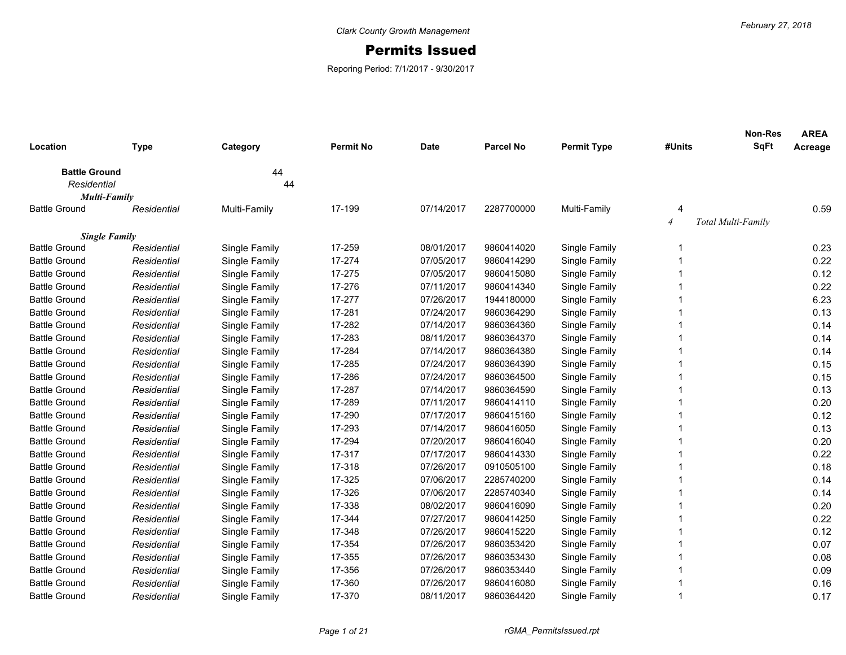## Permits Issued

Reporing Period: 7/1/2017 - 9/30/2017

| Location                            | <b>Type</b> | Category      | <b>Permit No</b> | <b>Date</b> | <b>Parcel No</b> | <b>Permit Type</b> | #Units         | <b>Non-Res</b><br><b>SqFt</b> | <b>AREA</b><br>Acreage |
|-------------------------------------|-------------|---------------|------------------|-------------|------------------|--------------------|----------------|-------------------------------|------------------------|
|                                     |             |               |                  |             |                  |                    |                |                               |                        |
| <b>Battle Ground</b><br>Residential |             | 44<br>44      |                  |             |                  |                    |                |                               |                        |
| <b>Multi-Family</b>                 |             |               |                  |             |                  |                    |                |                               |                        |
| <b>Battle Ground</b>                | Residential | Multi-Family  | 17-199           | 07/14/2017  | 2287700000       | Multi-Family       | 4              |                               | 0.59                   |
|                                     |             |               |                  |             |                  |                    | $\overline{4}$ | Total Multi-Family            |                        |
| <b>Single Family</b>                |             |               |                  |             |                  |                    |                |                               |                        |
| <b>Battle Ground</b>                | Residential | Single Family | 17-259           | 08/01/2017  | 9860414020       | Single Family      | -1             |                               | 0.23                   |
| <b>Battle Ground</b>                | Residential | Single Family | 17-274           | 07/05/2017  | 9860414290       | Single Family      |                |                               | 0.22                   |
| <b>Battle Ground</b>                | Residential | Single Family | 17-275           | 07/05/2017  | 9860415080       | Single Family      |                |                               | 0.12                   |
| <b>Battle Ground</b>                | Residential | Single Family | 17-276           | 07/11/2017  | 9860414340       | Single Family      |                |                               | 0.22                   |
| <b>Battle Ground</b>                | Residential | Single Family | 17-277           | 07/26/2017  | 1944180000       | Single Family      |                |                               | 6.23                   |
| <b>Battle Ground</b>                | Residential | Single Family | 17-281           | 07/24/2017  | 9860364290       | Single Family      |                |                               | 0.13                   |
| <b>Battle Ground</b>                | Residential | Single Family | 17-282           | 07/14/2017  | 9860364360       | Single Family      |                |                               | 0.14                   |
| <b>Battle Ground</b>                | Residential | Single Family | 17-283           | 08/11/2017  | 9860364370       | Single Family      |                |                               | 0.14                   |
| <b>Battle Ground</b>                | Residential | Single Family | 17-284           | 07/14/2017  | 9860364380       | Single Family      |                |                               | 0.14                   |
| <b>Battle Ground</b>                | Residential | Single Family | 17-285           | 07/24/2017  | 9860364390       | Single Family      |                |                               | 0.15                   |
| <b>Battle Ground</b>                | Residential | Single Family | 17-286           | 07/24/2017  | 9860364500       | Single Family      |                |                               | 0.15                   |
| <b>Battle Ground</b>                | Residential | Single Family | 17-287           | 07/14/2017  | 9860364590       | Single Family      |                |                               | 0.13                   |
| <b>Battle Ground</b>                | Residential | Single Family | 17-289           | 07/11/2017  | 9860414110       | Single Family      |                |                               | 0.20                   |
| <b>Battle Ground</b>                | Residential | Single Family | 17-290           | 07/17/2017  | 9860415160       | Single Family      |                |                               | 0.12                   |
| <b>Battle Ground</b>                | Residential | Single Family | 17-293           | 07/14/2017  | 9860416050       | Single Family      |                |                               | 0.13                   |
| <b>Battle Ground</b>                | Residential | Single Family | 17-294           | 07/20/2017  | 9860416040       | Single Family      |                |                               | 0.20                   |
| <b>Battle Ground</b>                | Residential | Single Family | 17-317           | 07/17/2017  | 9860414330       | Single Family      | 1              |                               | 0.22                   |
| <b>Battle Ground</b>                | Residential | Single Family | 17-318           | 07/26/2017  | 0910505100       | Single Family      | 1              |                               | 0.18                   |
| <b>Battle Ground</b>                | Residential | Single Family | 17-325           | 07/06/2017  | 2285740200       | Single Family      |                |                               | 0.14                   |
| <b>Battle Ground</b>                | Residential | Single Family | 17-326           | 07/06/2017  | 2285740340       | Single Family      |                |                               | 0.14                   |
| <b>Battle Ground</b>                | Residential | Single Family | 17-338           | 08/02/2017  | 9860416090       | Single Family      |                |                               | 0.20                   |
| <b>Battle Ground</b>                | Residential | Single Family | 17-344           | 07/27/2017  | 9860414250       | Single Family      |                |                               | 0.22                   |
| <b>Battle Ground</b>                | Residential | Single Family | 17-348           | 07/26/2017  | 9860415220       | Single Family      |                |                               | 0.12                   |
| <b>Battle Ground</b>                | Residential | Single Family | 17-354           | 07/26/2017  | 9860353420       | Single Family      | 1              |                               | 0.07                   |
| <b>Battle Ground</b>                | Residential | Single Family | 17-355           | 07/26/2017  | 9860353430       | Single Family      | 1              |                               | 0.08                   |
| <b>Battle Ground</b>                | Residential | Single Family | 17-356           | 07/26/2017  | 9860353440       | Single Family      |                |                               | 0.09                   |
| <b>Battle Ground</b>                | Residential | Single Family | 17-360           | 07/26/2017  | 9860416080       | Single Family      |                |                               | 0.16                   |
| <b>Battle Ground</b>                | Residential | Single Family | 17-370           | 08/11/2017  | 9860364420       | Single Family      | 1              |                               | 0.17                   |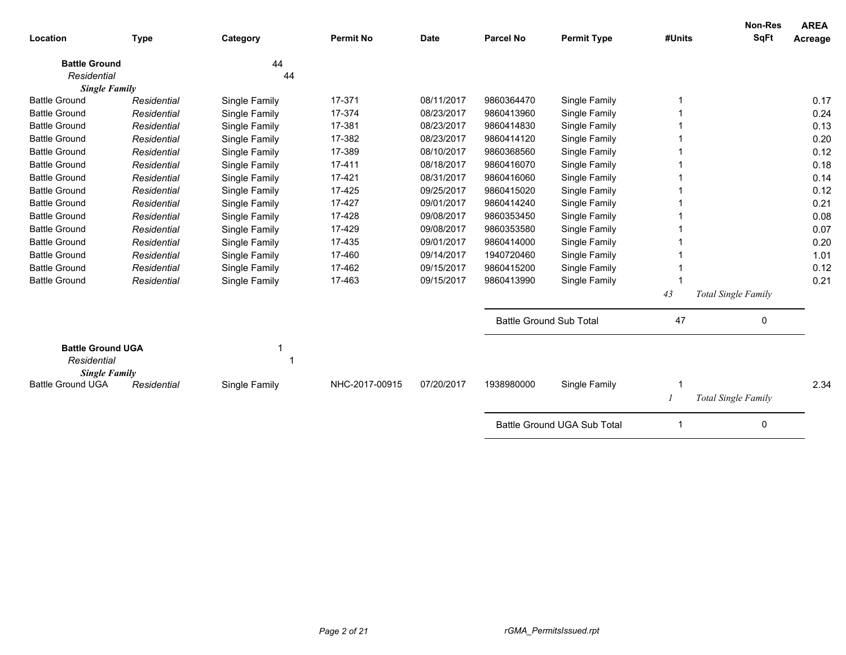| Location                                                        | <b>Type</b> | Category      | <b>Permit No</b> | <b>Date</b> | <b>Parcel No</b>               | <b>Permit Type</b>                 | #Units | <b>Non-Res</b><br><b>SqFt</b> | <b>AREA</b><br>Acreage |
|-----------------------------------------------------------------|-------------|---------------|------------------|-------------|--------------------------------|------------------------------------|--------|-------------------------------|------------------------|
| <b>Battle Ground</b>                                            |             | 44            |                  |             |                                |                                    |        |                               |                        |
| Residential<br><b>Single Family</b>                             |             | 44            |                  |             |                                |                                    |        |                               |                        |
| <b>Battle Ground</b>                                            | Residential | Single Family | 17-371           | 08/11/2017  | 9860364470                     | Single Family                      |        |                               | 0.17                   |
| <b>Battle Ground</b>                                            | Residential | Single Family | 17-374           | 08/23/2017  | 9860413960                     | Single Family                      |        |                               | 0.24                   |
| <b>Battle Ground</b>                                            | Residential | Single Family | 17-381           | 08/23/2017  | 9860414830                     | Single Family                      |        |                               | 0.13                   |
| <b>Battle Ground</b>                                            | Residential | Single Family | 17-382           | 08/23/2017  | 9860414120                     | Single Family                      |        |                               | 0.20                   |
| <b>Battle Ground</b>                                            | Residential | Single Family | 17-389           | 08/10/2017  | 9860368560                     | Single Family                      |        |                               | 0.12                   |
| <b>Battle Ground</b>                                            | Residential | Single Family | 17-411           | 08/18/2017  | 9860416070                     | Single Family                      |        |                               | 0.18                   |
| <b>Battle Ground</b>                                            | Residential | Single Family | 17-421           | 08/31/2017  | 9860416060                     | Single Family                      |        |                               | 0.14                   |
| <b>Battle Ground</b>                                            | Residential | Single Family | 17-425           | 09/25/2017  | 9860415020                     | Single Family                      |        |                               | 0.12                   |
| <b>Battle Ground</b>                                            | Residential | Single Family | 17-427           | 09/01/2017  | 9860414240                     | Single Family                      |        |                               | 0.21                   |
| <b>Battle Ground</b>                                            | Residential | Single Family | 17-428           | 09/08/2017  | 9860353450                     | Single Family                      |        |                               | 0.08                   |
| <b>Battle Ground</b>                                            | Residential | Single Family | 17-429           | 09/08/2017  | 9860353580                     | Single Family                      |        |                               | 0.07                   |
| <b>Battle Ground</b>                                            | Residential | Single Family | 17-435           | 09/01/2017  | 9860414000                     | Single Family                      |        |                               | 0.20                   |
| <b>Battle Ground</b>                                            | Residential | Single Family | 17-460           | 09/14/2017  | 1940720460                     | Single Family                      |        |                               | 1.01                   |
| <b>Battle Ground</b>                                            | Residential | Single Family | 17-462           | 09/15/2017  | 9860415200                     | Single Family                      |        |                               | 0.12                   |
| <b>Battle Ground</b>                                            | Residential | Single Family | 17-463           | 09/15/2017  | 9860413990                     | Single Family                      |        |                               | 0.21                   |
|                                                                 |             |               |                  |             |                                |                                    | 43     | Total Single Family           |                        |
|                                                                 |             |               |                  |             | <b>Battle Ground Sub Total</b> |                                    | 47     | 0                             |                        |
| <b>Battle Ground UGA</b><br>Residential<br><b>Single Family</b> |             |               |                  |             |                                |                                    |        |                               |                        |
| <b>Battle Ground UGA</b>                                        | Residential | Single Family | NHC-2017-00915   | 07/20/2017  | 1938980000                     | Single Family                      |        |                               | 2.34                   |
|                                                                 |             |               |                  |             |                                |                                    |        | Total Single Family           |                        |
|                                                                 |             |               |                  |             |                                | <b>Battle Ground UGA Sub Total</b> |        | $\mathbf 0$                   |                        |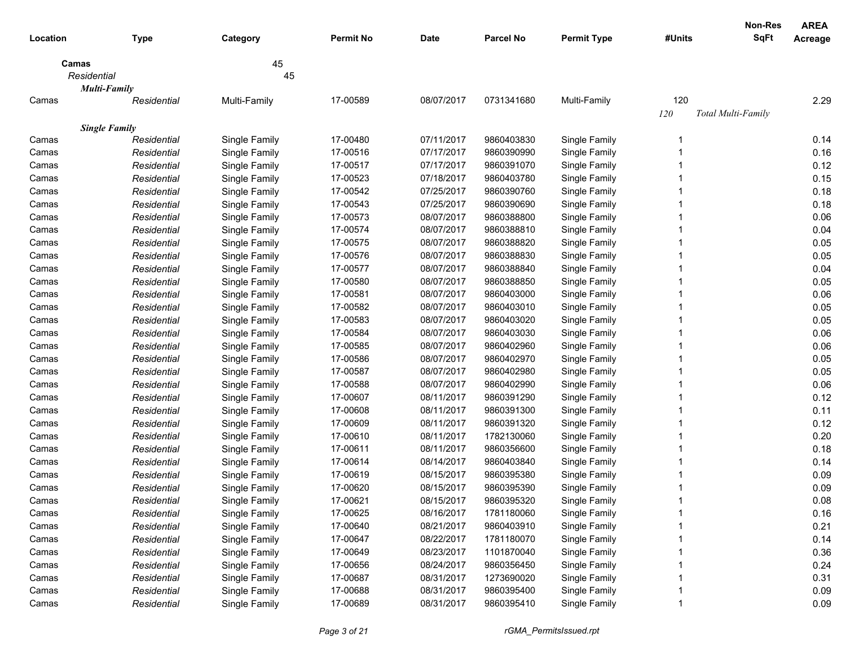| <b>SqFt</b><br><b>Permit No</b><br><b>Parcel No</b><br><b>Permit Type</b><br>#Units<br>Location<br><b>Type</b><br>Category<br><b>Date</b><br>Acreage<br>45<br>Camas<br>Residential<br>45<br><b>Multi-Family</b><br>17-00589<br>120<br>2.29<br>Multi-Family<br>08/07/2017<br>0731341680<br>Multi-Family<br>Camas<br>Residential<br>120<br>Total Multi-Family<br><b>Single Family</b><br>17-00480<br>07/11/2017<br>9860403830<br>Camas<br>Single Family<br>Single Family<br>0.14<br>Residential<br>0.16<br>17-00516<br>07/17/2017<br>9860390990<br>Single Family<br>Residential<br>Single Family<br>Camas<br>0.12<br>17-00517<br>07/17/2017<br>9860391070<br>Single Family<br>Residential<br>Single Family<br>Camas<br>0.15<br>17-00523<br>9860403780<br>Single Family<br>Residential<br>Single Family<br>07/18/2017<br>Camas<br>0.18<br>17-00542<br>07/25/2017<br>9860390760<br>Single Family<br>Residential<br>Single Family<br>Camas<br>0.18<br>17-00543<br>07/25/2017<br>9860390690<br>Single Family<br>Residential<br>Single Family<br>Camas<br>0.06<br>17-00573<br>08/07/2017<br>9860388800<br>Single Family<br>Residential<br>Single Family<br>Camas<br>17-00574<br>08/07/2017<br>9860388810<br>Single Family<br>0.04<br>Residential<br>Single Family<br>Camas<br>17-00575<br>08/07/2017<br>9860388820<br>Single Family<br>0.05<br>Residential<br>Single Family<br>Camas<br>0.05<br>Single Family<br>17-00576<br>08/07/2017<br>9860388830<br>Single Family<br>Residential<br>Camas<br>17-00577<br>0.04<br>08/07/2017<br>9860388840<br>Residential<br>Single Family<br>Single Family<br>Camas<br>17-00580<br>0.05<br>08/07/2017<br>9860388850<br>Residential<br>Single Family<br>Single Family<br>Camas<br>0.06<br>17-00581<br>08/07/2017<br>9860403000<br>Residential<br>Single Family<br>Single Family<br>Camas<br>0.05<br>17-00582<br>08/07/2017<br>9860403010<br>Residential<br>Single Family<br>Single Family<br>Camas<br>0.05<br>17-00583<br>08/07/2017<br>9860403020<br>Residential<br>Single Family<br>Single Family<br>Camas<br>17-00584<br>08/07/2017<br>9860403030<br>0.06<br>Single Family<br>Single Family<br>Camas<br>Residential<br>17-00585<br>0.06<br>Single Family<br>08/07/2017<br>9860402960<br>Single Family<br>Camas<br>Residential<br>17-00586<br>0.05<br>Single Family<br>08/07/2017<br>9860402970<br>Single Family<br>Camas<br>Residential<br>17-00587<br>0.05<br>Single Family<br>08/07/2017<br>9860402980<br>Single Family<br>Camas<br>Residential<br>17-00588<br>0.06<br>Single Family<br>08/07/2017<br>9860402990<br>Single Family<br>Camas<br>Residential<br>17-00607<br>0.12<br>Single Family<br>08/11/2017<br>9860391290<br>Single Family<br>Camas<br>Residential<br>17-00608<br>Single Family<br>08/11/2017<br>9860391300<br>Single Family<br>0.11<br>Residential<br>Camas<br>17-00609<br>08/11/2017<br>9860391320<br>Single Family<br>Single Family<br>0.12<br>Camas<br>Residential<br>17-00610<br>08/11/2017<br>1782130060<br>Single Family<br>0.20<br>Camas<br>Residential<br>Single Family<br>17-00611<br>08/11/2017<br>9860356600<br>Single Family<br>0.18<br>Camas<br>Residential<br>Single Family<br>17-00614<br>08/14/2017<br>9860403840<br>Single Family<br>0.14<br>Camas<br>Residential<br>Single Family<br>17-00619<br>08/15/2017<br>Single Family<br>0.09<br>Camas<br>Residential<br>Single Family<br>9860395380<br>17-00620<br>08/15/2017<br>9860395390<br>Single Family<br>0.09<br>Camas<br>Residential<br>Single Family<br>Camas<br>Residential<br>Single Family<br>17-00621<br>08/15/2017<br>9860395320<br>Single Family<br>0.08<br>17-00625<br>08/16/2017<br>1781180060<br>Single Family<br>0.16<br>Camas<br>Residential<br>Single Family<br>17-00640<br>08/21/2017<br>9860403910<br>Single Family<br>0.21<br>Camas<br>Single Family<br>Residential<br>0.14<br>Single Family<br>17-00647<br>08/22/2017<br>1781180070<br>Single Family<br>Camas<br>Residential<br>Single Family<br>17-00649<br>08/23/2017<br>1101870040<br>Single Family<br>0.36<br>Residential<br>Camas |       |             |               |          |            |            |               | <b>Non-Res</b> | <b>AREA</b> |
|-------------------------------------------------------------------------------------------------------------------------------------------------------------------------------------------------------------------------------------------------------------------------------------------------------------------------------------------------------------------------------------------------------------------------------------------------------------------------------------------------------------------------------------------------------------------------------------------------------------------------------------------------------------------------------------------------------------------------------------------------------------------------------------------------------------------------------------------------------------------------------------------------------------------------------------------------------------------------------------------------------------------------------------------------------------------------------------------------------------------------------------------------------------------------------------------------------------------------------------------------------------------------------------------------------------------------------------------------------------------------------------------------------------------------------------------------------------------------------------------------------------------------------------------------------------------------------------------------------------------------------------------------------------------------------------------------------------------------------------------------------------------------------------------------------------------------------------------------------------------------------------------------------------------------------------------------------------------------------------------------------------------------------------------------------------------------------------------------------------------------------------------------------------------------------------------------------------------------------------------------------------------------------------------------------------------------------------------------------------------------------------------------------------------------------------------------------------------------------------------------------------------------------------------------------------------------------------------------------------------------------------------------------------------------------------------------------------------------------------------------------------------------------------------------------------------------------------------------------------------------------------------------------------------------------------------------------------------------------------------------------------------------------------------------------------------------------------------------------------------------------------------------------------------------------------------------------------------------------------------------------------------------------------------------------------------------------------------------------------------------------------------------------------------------------------------------------------------------------------------------------------------------------------------------------------------------------------------------------------------------------------------------------------------------------------------------------------------------------------------------------------------------------------------------------------------------------------------------------------------------------------------------------------------------------------------------------------------------------------------------------------------------------|-------|-------------|---------------|----------|------------|------------|---------------|----------------|-------------|
|                                                                                                                                                                                                                                                                                                                                                                                                                                                                                                                                                                                                                                                                                                                                                                                                                                                                                                                                                                                                                                                                                                                                                                                                                                                                                                                                                                                                                                                                                                                                                                                                                                                                                                                                                                                                                                                                                                                                                                                                                                                                                                                                                                                                                                                                                                                                                                                                                                                                                                                                                                                                                                                                                                                                                                                                                                                                                                                                                                                                                                                                                                                                                                                                                                                                                                                                                                                                                                                                                                                                                                                                                                                                                                                                                                                                                                                                                                                                                                                                                               |       |             |               |          |            |            |               |                |             |
|                                                                                                                                                                                                                                                                                                                                                                                                                                                                                                                                                                                                                                                                                                                                                                                                                                                                                                                                                                                                                                                                                                                                                                                                                                                                                                                                                                                                                                                                                                                                                                                                                                                                                                                                                                                                                                                                                                                                                                                                                                                                                                                                                                                                                                                                                                                                                                                                                                                                                                                                                                                                                                                                                                                                                                                                                                                                                                                                                                                                                                                                                                                                                                                                                                                                                                                                                                                                                                                                                                                                                                                                                                                                                                                                                                                                                                                                                                                                                                                                                               |       |             |               |          |            |            |               |                |             |
|                                                                                                                                                                                                                                                                                                                                                                                                                                                                                                                                                                                                                                                                                                                                                                                                                                                                                                                                                                                                                                                                                                                                                                                                                                                                                                                                                                                                                                                                                                                                                                                                                                                                                                                                                                                                                                                                                                                                                                                                                                                                                                                                                                                                                                                                                                                                                                                                                                                                                                                                                                                                                                                                                                                                                                                                                                                                                                                                                                                                                                                                                                                                                                                                                                                                                                                                                                                                                                                                                                                                                                                                                                                                                                                                                                                                                                                                                                                                                                                                                               |       |             |               |          |            |            |               |                |             |
|                                                                                                                                                                                                                                                                                                                                                                                                                                                                                                                                                                                                                                                                                                                                                                                                                                                                                                                                                                                                                                                                                                                                                                                                                                                                                                                                                                                                                                                                                                                                                                                                                                                                                                                                                                                                                                                                                                                                                                                                                                                                                                                                                                                                                                                                                                                                                                                                                                                                                                                                                                                                                                                                                                                                                                                                                                                                                                                                                                                                                                                                                                                                                                                                                                                                                                                                                                                                                                                                                                                                                                                                                                                                                                                                                                                                                                                                                                                                                                                                                               |       |             |               |          |            |            |               |                |             |
|                                                                                                                                                                                                                                                                                                                                                                                                                                                                                                                                                                                                                                                                                                                                                                                                                                                                                                                                                                                                                                                                                                                                                                                                                                                                                                                                                                                                                                                                                                                                                                                                                                                                                                                                                                                                                                                                                                                                                                                                                                                                                                                                                                                                                                                                                                                                                                                                                                                                                                                                                                                                                                                                                                                                                                                                                                                                                                                                                                                                                                                                                                                                                                                                                                                                                                                                                                                                                                                                                                                                                                                                                                                                                                                                                                                                                                                                                                                                                                                                                               |       |             |               |          |            |            |               |                |             |
|                                                                                                                                                                                                                                                                                                                                                                                                                                                                                                                                                                                                                                                                                                                                                                                                                                                                                                                                                                                                                                                                                                                                                                                                                                                                                                                                                                                                                                                                                                                                                                                                                                                                                                                                                                                                                                                                                                                                                                                                                                                                                                                                                                                                                                                                                                                                                                                                                                                                                                                                                                                                                                                                                                                                                                                                                                                                                                                                                                                                                                                                                                                                                                                                                                                                                                                                                                                                                                                                                                                                                                                                                                                                                                                                                                                                                                                                                                                                                                                                                               |       |             |               |          |            |            |               |                |             |
|                                                                                                                                                                                                                                                                                                                                                                                                                                                                                                                                                                                                                                                                                                                                                                                                                                                                                                                                                                                                                                                                                                                                                                                                                                                                                                                                                                                                                                                                                                                                                                                                                                                                                                                                                                                                                                                                                                                                                                                                                                                                                                                                                                                                                                                                                                                                                                                                                                                                                                                                                                                                                                                                                                                                                                                                                                                                                                                                                                                                                                                                                                                                                                                                                                                                                                                                                                                                                                                                                                                                                                                                                                                                                                                                                                                                                                                                                                                                                                                                                               |       |             |               |          |            |            |               |                |             |
|                                                                                                                                                                                                                                                                                                                                                                                                                                                                                                                                                                                                                                                                                                                                                                                                                                                                                                                                                                                                                                                                                                                                                                                                                                                                                                                                                                                                                                                                                                                                                                                                                                                                                                                                                                                                                                                                                                                                                                                                                                                                                                                                                                                                                                                                                                                                                                                                                                                                                                                                                                                                                                                                                                                                                                                                                                                                                                                                                                                                                                                                                                                                                                                                                                                                                                                                                                                                                                                                                                                                                                                                                                                                                                                                                                                                                                                                                                                                                                                                                               |       |             |               |          |            |            |               |                |             |
|                                                                                                                                                                                                                                                                                                                                                                                                                                                                                                                                                                                                                                                                                                                                                                                                                                                                                                                                                                                                                                                                                                                                                                                                                                                                                                                                                                                                                                                                                                                                                                                                                                                                                                                                                                                                                                                                                                                                                                                                                                                                                                                                                                                                                                                                                                                                                                                                                                                                                                                                                                                                                                                                                                                                                                                                                                                                                                                                                                                                                                                                                                                                                                                                                                                                                                                                                                                                                                                                                                                                                                                                                                                                                                                                                                                                                                                                                                                                                                                                                               |       |             |               |          |            |            |               |                |             |
|                                                                                                                                                                                                                                                                                                                                                                                                                                                                                                                                                                                                                                                                                                                                                                                                                                                                                                                                                                                                                                                                                                                                                                                                                                                                                                                                                                                                                                                                                                                                                                                                                                                                                                                                                                                                                                                                                                                                                                                                                                                                                                                                                                                                                                                                                                                                                                                                                                                                                                                                                                                                                                                                                                                                                                                                                                                                                                                                                                                                                                                                                                                                                                                                                                                                                                                                                                                                                                                                                                                                                                                                                                                                                                                                                                                                                                                                                                                                                                                                                               |       |             |               |          |            |            |               |                |             |
|                                                                                                                                                                                                                                                                                                                                                                                                                                                                                                                                                                                                                                                                                                                                                                                                                                                                                                                                                                                                                                                                                                                                                                                                                                                                                                                                                                                                                                                                                                                                                                                                                                                                                                                                                                                                                                                                                                                                                                                                                                                                                                                                                                                                                                                                                                                                                                                                                                                                                                                                                                                                                                                                                                                                                                                                                                                                                                                                                                                                                                                                                                                                                                                                                                                                                                                                                                                                                                                                                                                                                                                                                                                                                                                                                                                                                                                                                                                                                                                                                               |       |             |               |          |            |            |               |                |             |
|                                                                                                                                                                                                                                                                                                                                                                                                                                                                                                                                                                                                                                                                                                                                                                                                                                                                                                                                                                                                                                                                                                                                                                                                                                                                                                                                                                                                                                                                                                                                                                                                                                                                                                                                                                                                                                                                                                                                                                                                                                                                                                                                                                                                                                                                                                                                                                                                                                                                                                                                                                                                                                                                                                                                                                                                                                                                                                                                                                                                                                                                                                                                                                                                                                                                                                                                                                                                                                                                                                                                                                                                                                                                                                                                                                                                                                                                                                                                                                                                                               |       |             |               |          |            |            |               |                |             |
|                                                                                                                                                                                                                                                                                                                                                                                                                                                                                                                                                                                                                                                                                                                                                                                                                                                                                                                                                                                                                                                                                                                                                                                                                                                                                                                                                                                                                                                                                                                                                                                                                                                                                                                                                                                                                                                                                                                                                                                                                                                                                                                                                                                                                                                                                                                                                                                                                                                                                                                                                                                                                                                                                                                                                                                                                                                                                                                                                                                                                                                                                                                                                                                                                                                                                                                                                                                                                                                                                                                                                                                                                                                                                                                                                                                                                                                                                                                                                                                                                               |       |             |               |          |            |            |               |                |             |
|                                                                                                                                                                                                                                                                                                                                                                                                                                                                                                                                                                                                                                                                                                                                                                                                                                                                                                                                                                                                                                                                                                                                                                                                                                                                                                                                                                                                                                                                                                                                                                                                                                                                                                                                                                                                                                                                                                                                                                                                                                                                                                                                                                                                                                                                                                                                                                                                                                                                                                                                                                                                                                                                                                                                                                                                                                                                                                                                                                                                                                                                                                                                                                                                                                                                                                                                                                                                                                                                                                                                                                                                                                                                                                                                                                                                                                                                                                                                                                                                                               |       |             |               |          |            |            |               |                |             |
|                                                                                                                                                                                                                                                                                                                                                                                                                                                                                                                                                                                                                                                                                                                                                                                                                                                                                                                                                                                                                                                                                                                                                                                                                                                                                                                                                                                                                                                                                                                                                                                                                                                                                                                                                                                                                                                                                                                                                                                                                                                                                                                                                                                                                                                                                                                                                                                                                                                                                                                                                                                                                                                                                                                                                                                                                                                                                                                                                                                                                                                                                                                                                                                                                                                                                                                                                                                                                                                                                                                                                                                                                                                                                                                                                                                                                                                                                                                                                                                                                               |       |             |               |          |            |            |               |                |             |
|                                                                                                                                                                                                                                                                                                                                                                                                                                                                                                                                                                                                                                                                                                                                                                                                                                                                                                                                                                                                                                                                                                                                                                                                                                                                                                                                                                                                                                                                                                                                                                                                                                                                                                                                                                                                                                                                                                                                                                                                                                                                                                                                                                                                                                                                                                                                                                                                                                                                                                                                                                                                                                                                                                                                                                                                                                                                                                                                                                                                                                                                                                                                                                                                                                                                                                                                                                                                                                                                                                                                                                                                                                                                                                                                                                                                                                                                                                                                                                                                                               |       |             |               |          |            |            |               |                |             |
|                                                                                                                                                                                                                                                                                                                                                                                                                                                                                                                                                                                                                                                                                                                                                                                                                                                                                                                                                                                                                                                                                                                                                                                                                                                                                                                                                                                                                                                                                                                                                                                                                                                                                                                                                                                                                                                                                                                                                                                                                                                                                                                                                                                                                                                                                                                                                                                                                                                                                                                                                                                                                                                                                                                                                                                                                                                                                                                                                                                                                                                                                                                                                                                                                                                                                                                                                                                                                                                                                                                                                                                                                                                                                                                                                                                                                                                                                                                                                                                                                               |       |             |               |          |            |            |               |                |             |
|                                                                                                                                                                                                                                                                                                                                                                                                                                                                                                                                                                                                                                                                                                                                                                                                                                                                                                                                                                                                                                                                                                                                                                                                                                                                                                                                                                                                                                                                                                                                                                                                                                                                                                                                                                                                                                                                                                                                                                                                                                                                                                                                                                                                                                                                                                                                                                                                                                                                                                                                                                                                                                                                                                                                                                                                                                                                                                                                                                                                                                                                                                                                                                                                                                                                                                                                                                                                                                                                                                                                                                                                                                                                                                                                                                                                                                                                                                                                                                                                                               |       |             |               |          |            |            |               |                |             |
|                                                                                                                                                                                                                                                                                                                                                                                                                                                                                                                                                                                                                                                                                                                                                                                                                                                                                                                                                                                                                                                                                                                                                                                                                                                                                                                                                                                                                                                                                                                                                                                                                                                                                                                                                                                                                                                                                                                                                                                                                                                                                                                                                                                                                                                                                                                                                                                                                                                                                                                                                                                                                                                                                                                                                                                                                                                                                                                                                                                                                                                                                                                                                                                                                                                                                                                                                                                                                                                                                                                                                                                                                                                                                                                                                                                                                                                                                                                                                                                                                               |       |             |               |          |            |            |               |                |             |
|                                                                                                                                                                                                                                                                                                                                                                                                                                                                                                                                                                                                                                                                                                                                                                                                                                                                                                                                                                                                                                                                                                                                                                                                                                                                                                                                                                                                                                                                                                                                                                                                                                                                                                                                                                                                                                                                                                                                                                                                                                                                                                                                                                                                                                                                                                                                                                                                                                                                                                                                                                                                                                                                                                                                                                                                                                                                                                                                                                                                                                                                                                                                                                                                                                                                                                                                                                                                                                                                                                                                                                                                                                                                                                                                                                                                                                                                                                                                                                                                                               |       |             |               |          |            |            |               |                |             |
|                                                                                                                                                                                                                                                                                                                                                                                                                                                                                                                                                                                                                                                                                                                                                                                                                                                                                                                                                                                                                                                                                                                                                                                                                                                                                                                                                                                                                                                                                                                                                                                                                                                                                                                                                                                                                                                                                                                                                                                                                                                                                                                                                                                                                                                                                                                                                                                                                                                                                                                                                                                                                                                                                                                                                                                                                                                                                                                                                                                                                                                                                                                                                                                                                                                                                                                                                                                                                                                                                                                                                                                                                                                                                                                                                                                                                                                                                                                                                                                                                               |       |             |               |          |            |            |               |                |             |
|                                                                                                                                                                                                                                                                                                                                                                                                                                                                                                                                                                                                                                                                                                                                                                                                                                                                                                                                                                                                                                                                                                                                                                                                                                                                                                                                                                                                                                                                                                                                                                                                                                                                                                                                                                                                                                                                                                                                                                                                                                                                                                                                                                                                                                                                                                                                                                                                                                                                                                                                                                                                                                                                                                                                                                                                                                                                                                                                                                                                                                                                                                                                                                                                                                                                                                                                                                                                                                                                                                                                                                                                                                                                                                                                                                                                                                                                                                                                                                                                                               |       |             |               |          |            |            |               |                |             |
|                                                                                                                                                                                                                                                                                                                                                                                                                                                                                                                                                                                                                                                                                                                                                                                                                                                                                                                                                                                                                                                                                                                                                                                                                                                                                                                                                                                                                                                                                                                                                                                                                                                                                                                                                                                                                                                                                                                                                                                                                                                                                                                                                                                                                                                                                                                                                                                                                                                                                                                                                                                                                                                                                                                                                                                                                                                                                                                                                                                                                                                                                                                                                                                                                                                                                                                                                                                                                                                                                                                                                                                                                                                                                                                                                                                                                                                                                                                                                                                                                               |       |             |               |          |            |            |               |                |             |
|                                                                                                                                                                                                                                                                                                                                                                                                                                                                                                                                                                                                                                                                                                                                                                                                                                                                                                                                                                                                                                                                                                                                                                                                                                                                                                                                                                                                                                                                                                                                                                                                                                                                                                                                                                                                                                                                                                                                                                                                                                                                                                                                                                                                                                                                                                                                                                                                                                                                                                                                                                                                                                                                                                                                                                                                                                                                                                                                                                                                                                                                                                                                                                                                                                                                                                                                                                                                                                                                                                                                                                                                                                                                                                                                                                                                                                                                                                                                                                                                                               |       |             |               |          |            |            |               |                |             |
|                                                                                                                                                                                                                                                                                                                                                                                                                                                                                                                                                                                                                                                                                                                                                                                                                                                                                                                                                                                                                                                                                                                                                                                                                                                                                                                                                                                                                                                                                                                                                                                                                                                                                                                                                                                                                                                                                                                                                                                                                                                                                                                                                                                                                                                                                                                                                                                                                                                                                                                                                                                                                                                                                                                                                                                                                                                                                                                                                                                                                                                                                                                                                                                                                                                                                                                                                                                                                                                                                                                                                                                                                                                                                                                                                                                                                                                                                                                                                                                                                               |       |             |               |          |            |            |               |                |             |
|                                                                                                                                                                                                                                                                                                                                                                                                                                                                                                                                                                                                                                                                                                                                                                                                                                                                                                                                                                                                                                                                                                                                                                                                                                                                                                                                                                                                                                                                                                                                                                                                                                                                                                                                                                                                                                                                                                                                                                                                                                                                                                                                                                                                                                                                                                                                                                                                                                                                                                                                                                                                                                                                                                                                                                                                                                                                                                                                                                                                                                                                                                                                                                                                                                                                                                                                                                                                                                                                                                                                                                                                                                                                                                                                                                                                                                                                                                                                                                                                                               |       |             |               |          |            |            |               |                |             |
|                                                                                                                                                                                                                                                                                                                                                                                                                                                                                                                                                                                                                                                                                                                                                                                                                                                                                                                                                                                                                                                                                                                                                                                                                                                                                                                                                                                                                                                                                                                                                                                                                                                                                                                                                                                                                                                                                                                                                                                                                                                                                                                                                                                                                                                                                                                                                                                                                                                                                                                                                                                                                                                                                                                                                                                                                                                                                                                                                                                                                                                                                                                                                                                                                                                                                                                                                                                                                                                                                                                                                                                                                                                                                                                                                                                                                                                                                                                                                                                                                               |       |             |               |          |            |            |               |                |             |
|                                                                                                                                                                                                                                                                                                                                                                                                                                                                                                                                                                                                                                                                                                                                                                                                                                                                                                                                                                                                                                                                                                                                                                                                                                                                                                                                                                                                                                                                                                                                                                                                                                                                                                                                                                                                                                                                                                                                                                                                                                                                                                                                                                                                                                                                                                                                                                                                                                                                                                                                                                                                                                                                                                                                                                                                                                                                                                                                                                                                                                                                                                                                                                                                                                                                                                                                                                                                                                                                                                                                                                                                                                                                                                                                                                                                                                                                                                                                                                                                                               |       |             |               |          |            |            |               |                |             |
|                                                                                                                                                                                                                                                                                                                                                                                                                                                                                                                                                                                                                                                                                                                                                                                                                                                                                                                                                                                                                                                                                                                                                                                                                                                                                                                                                                                                                                                                                                                                                                                                                                                                                                                                                                                                                                                                                                                                                                                                                                                                                                                                                                                                                                                                                                                                                                                                                                                                                                                                                                                                                                                                                                                                                                                                                                                                                                                                                                                                                                                                                                                                                                                                                                                                                                                                                                                                                                                                                                                                                                                                                                                                                                                                                                                                                                                                                                                                                                                                                               |       |             |               |          |            |            |               |                |             |
|                                                                                                                                                                                                                                                                                                                                                                                                                                                                                                                                                                                                                                                                                                                                                                                                                                                                                                                                                                                                                                                                                                                                                                                                                                                                                                                                                                                                                                                                                                                                                                                                                                                                                                                                                                                                                                                                                                                                                                                                                                                                                                                                                                                                                                                                                                                                                                                                                                                                                                                                                                                                                                                                                                                                                                                                                                                                                                                                                                                                                                                                                                                                                                                                                                                                                                                                                                                                                                                                                                                                                                                                                                                                                                                                                                                                                                                                                                                                                                                                                               |       |             |               |          |            |            |               |                |             |
|                                                                                                                                                                                                                                                                                                                                                                                                                                                                                                                                                                                                                                                                                                                                                                                                                                                                                                                                                                                                                                                                                                                                                                                                                                                                                                                                                                                                                                                                                                                                                                                                                                                                                                                                                                                                                                                                                                                                                                                                                                                                                                                                                                                                                                                                                                                                                                                                                                                                                                                                                                                                                                                                                                                                                                                                                                                                                                                                                                                                                                                                                                                                                                                                                                                                                                                                                                                                                                                                                                                                                                                                                                                                                                                                                                                                                                                                                                                                                                                                                               |       |             |               |          |            |            |               |                |             |
|                                                                                                                                                                                                                                                                                                                                                                                                                                                                                                                                                                                                                                                                                                                                                                                                                                                                                                                                                                                                                                                                                                                                                                                                                                                                                                                                                                                                                                                                                                                                                                                                                                                                                                                                                                                                                                                                                                                                                                                                                                                                                                                                                                                                                                                                                                                                                                                                                                                                                                                                                                                                                                                                                                                                                                                                                                                                                                                                                                                                                                                                                                                                                                                                                                                                                                                                                                                                                                                                                                                                                                                                                                                                                                                                                                                                                                                                                                                                                                                                                               |       |             |               |          |            |            |               |                |             |
|                                                                                                                                                                                                                                                                                                                                                                                                                                                                                                                                                                                                                                                                                                                                                                                                                                                                                                                                                                                                                                                                                                                                                                                                                                                                                                                                                                                                                                                                                                                                                                                                                                                                                                                                                                                                                                                                                                                                                                                                                                                                                                                                                                                                                                                                                                                                                                                                                                                                                                                                                                                                                                                                                                                                                                                                                                                                                                                                                                                                                                                                                                                                                                                                                                                                                                                                                                                                                                                                                                                                                                                                                                                                                                                                                                                                                                                                                                                                                                                                                               |       |             |               |          |            |            |               |                |             |
|                                                                                                                                                                                                                                                                                                                                                                                                                                                                                                                                                                                                                                                                                                                                                                                                                                                                                                                                                                                                                                                                                                                                                                                                                                                                                                                                                                                                                                                                                                                                                                                                                                                                                                                                                                                                                                                                                                                                                                                                                                                                                                                                                                                                                                                                                                                                                                                                                                                                                                                                                                                                                                                                                                                                                                                                                                                                                                                                                                                                                                                                                                                                                                                                                                                                                                                                                                                                                                                                                                                                                                                                                                                                                                                                                                                                                                                                                                                                                                                                                               |       |             |               |          |            |            |               |                |             |
|                                                                                                                                                                                                                                                                                                                                                                                                                                                                                                                                                                                                                                                                                                                                                                                                                                                                                                                                                                                                                                                                                                                                                                                                                                                                                                                                                                                                                                                                                                                                                                                                                                                                                                                                                                                                                                                                                                                                                                                                                                                                                                                                                                                                                                                                                                                                                                                                                                                                                                                                                                                                                                                                                                                                                                                                                                                                                                                                                                                                                                                                                                                                                                                                                                                                                                                                                                                                                                                                                                                                                                                                                                                                                                                                                                                                                                                                                                                                                                                                                               |       |             |               |          |            |            |               |                |             |
|                                                                                                                                                                                                                                                                                                                                                                                                                                                                                                                                                                                                                                                                                                                                                                                                                                                                                                                                                                                                                                                                                                                                                                                                                                                                                                                                                                                                                                                                                                                                                                                                                                                                                                                                                                                                                                                                                                                                                                                                                                                                                                                                                                                                                                                                                                                                                                                                                                                                                                                                                                                                                                                                                                                                                                                                                                                                                                                                                                                                                                                                                                                                                                                                                                                                                                                                                                                                                                                                                                                                                                                                                                                                                                                                                                                                                                                                                                                                                                                                                               |       |             |               |          |            |            |               |                |             |
|                                                                                                                                                                                                                                                                                                                                                                                                                                                                                                                                                                                                                                                                                                                                                                                                                                                                                                                                                                                                                                                                                                                                                                                                                                                                                                                                                                                                                                                                                                                                                                                                                                                                                                                                                                                                                                                                                                                                                                                                                                                                                                                                                                                                                                                                                                                                                                                                                                                                                                                                                                                                                                                                                                                                                                                                                                                                                                                                                                                                                                                                                                                                                                                                                                                                                                                                                                                                                                                                                                                                                                                                                                                                                                                                                                                                                                                                                                                                                                                                                               |       |             |               |          |            |            |               |                |             |
|                                                                                                                                                                                                                                                                                                                                                                                                                                                                                                                                                                                                                                                                                                                                                                                                                                                                                                                                                                                                                                                                                                                                                                                                                                                                                                                                                                                                                                                                                                                                                                                                                                                                                                                                                                                                                                                                                                                                                                                                                                                                                                                                                                                                                                                                                                                                                                                                                                                                                                                                                                                                                                                                                                                                                                                                                                                                                                                                                                                                                                                                                                                                                                                                                                                                                                                                                                                                                                                                                                                                                                                                                                                                                                                                                                                                                                                                                                                                                                                                                               |       |             |               |          |            |            |               |                |             |
|                                                                                                                                                                                                                                                                                                                                                                                                                                                                                                                                                                                                                                                                                                                                                                                                                                                                                                                                                                                                                                                                                                                                                                                                                                                                                                                                                                                                                                                                                                                                                                                                                                                                                                                                                                                                                                                                                                                                                                                                                                                                                                                                                                                                                                                                                                                                                                                                                                                                                                                                                                                                                                                                                                                                                                                                                                                                                                                                                                                                                                                                                                                                                                                                                                                                                                                                                                                                                                                                                                                                                                                                                                                                                                                                                                                                                                                                                                                                                                                                                               |       |             |               |          |            |            |               |                |             |
|                                                                                                                                                                                                                                                                                                                                                                                                                                                                                                                                                                                                                                                                                                                                                                                                                                                                                                                                                                                                                                                                                                                                                                                                                                                                                                                                                                                                                                                                                                                                                                                                                                                                                                                                                                                                                                                                                                                                                                                                                                                                                                                                                                                                                                                                                                                                                                                                                                                                                                                                                                                                                                                                                                                                                                                                                                                                                                                                                                                                                                                                                                                                                                                                                                                                                                                                                                                                                                                                                                                                                                                                                                                                                                                                                                                                                                                                                                                                                                                                                               |       |             |               |          |            |            |               |                |             |
|                                                                                                                                                                                                                                                                                                                                                                                                                                                                                                                                                                                                                                                                                                                                                                                                                                                                                                                                                                                                                                                                                                                                                                                                                                                                                                                                                                                                                                                                                                                                                                                                                                                                                                                                                                                                                                                                                                                                                                                                                                                                                                                                                                                                                                                                                                                                                                                                                                                                                                                                                                                                                                                                                                                                                                                                                                                                                                                                                                                                                                                                                                                                                                                                                                                                                                                                                                                                                                                                                                                                                                                                                                                                                                                                                                                                                                                                                                                                                                                                                               | Camas | Residential | Single Family | 17-00656 | 08/24/2017 | 9860356450 | Single Family |                | 0.24        |
| Single Family<br>17-00687<br>08/31/2017<br>Single Family<br>0.31<br>Residential<br>1273690020<br>Camas                                                                                                                                                                                                                                                                                                                                                                                                                                                                                                                                                                                                                                                                                                                                                                                                                                                                                                                                                                                                                                                                                                                                                                                                                                                                                                                                                                                                                                                                                                                                                                                                                                                                                                                                                                                                                                                                                                                                                                                                                                                                                                                                                                                                                                                                                                                                                                                                                                                                                                                                                                                                                                                                                                                                                                                                                                                                                                                                                                                                                                                                                                                                                                                                                                                                                                                                                                                                                                                                                                                                                                                                                                                                                                                                                                                                                                                                                                                        |       |             |               |          |            |            |               |                |             |
| Single Family<br>17-00688<br>08/31/2017<br>9860395400<br>Single Family<br>0.09<br>Camas<br>Residential                                                                                                                                                                                                                                                                                                                                                                                                                                                                                                                                                                                                                                                                                                                                                                                                                                                                                                                                                                                                                                                                                                                                                                                                                                                                                                                                                                                                                                                                                                                                                                                                                                                                                                                                                                                                                                                                                                                                                                                                                                                                                                                                                                                                                                                                                                                                                                                                                                                                                                                                                                                                                                                                                                                                                                                                                                                                                                                                                                                                                                                                                                                                                                                                                                                                                                                                                                                                                                                                                                                                                                                                                                                                                                                                                                                                                                                                                                                        |       |             |               |          |            |            |               |                |             |
| Single Family<br>17-00689<br>08/31/2017<br>9860395410<br>Single Family<br>0.09<br>Camas<br>Residential                                                                                                                                                                                                                                                                                                                                                                                                                                                                                                                                                                                                                                                                                                                                                                                                                                                                                                                                                                                                                                                                                                                                                                                                                                                                                                                                                                                                                                                                                                                                                                                                                                                                                                                                                                                                                                                                                                                                                                                                                                                                                                                                                                                                                                                                                                                                                                                                                                                                                                                                                                                                                                                                                                                                                                                                                                                                                                                                                                                                                                                                                                                                                                                                                                                                                                                                                                                                                                                                                                                                                                                                                                                                                                                                                                                                                                                                                                                        |       |             |               |          |            |            |               |                |             |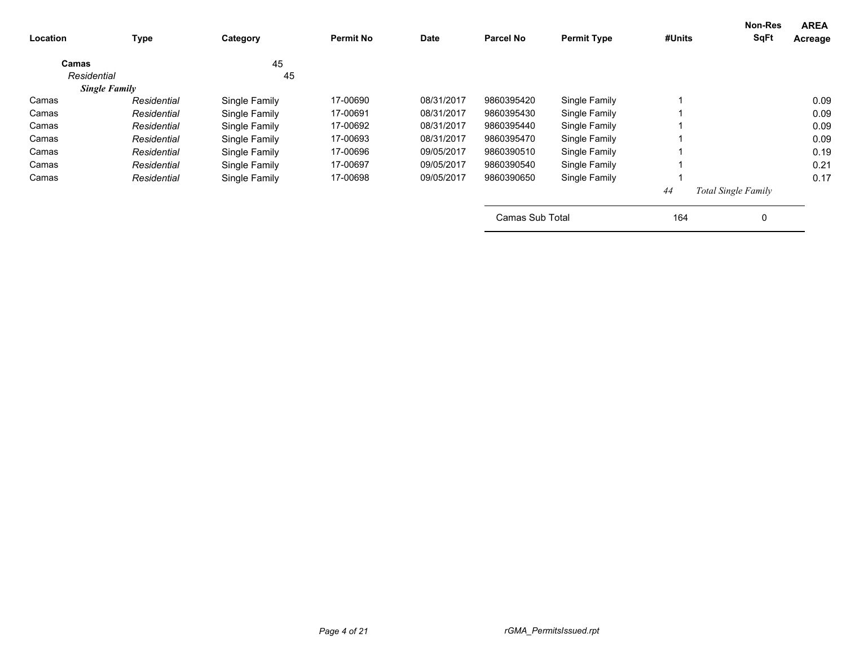| Location             | <b>Type</b> | Category      | <b>Permit No</b> | Date       | <b>Parcel No</b> | <b>Permit Type</b> | #Units | Non-Res<br><b>SqFt</b>     | <b>AREA</b><br>Acreage |
|----------------------|-------------|---------------|------------------|------------|------------------|--------------------|--------|----------------------------|------------------------|
| Camas                |             | 45            |                  |            |                  |                    |        |                            |                        |
| Residential          |             | 45            |                  |            |                  |                    |        |                            |                        |
| <b>Single Family</b> |             |               |                  |            |                  |                    |        |                            |                        |
| Camas                | Residential | Single Family | 17-00690         | 08/31/2017 | 9860395420       | Single Family      |        |                            | 0.09                   |
| Camas                | Residential | Single Family | 17-00691         | 08/31/2017 | 9860395430       | Single Family      |        |                            | 0.09                   |
| Camas                | Residential | Single Family | 17-00692         | 08/31/2017 | 9860395440       | Single Family      |        |                            | 0.09                   |
| Camas                | Residential | Single Family | 17-00693         | 08/31/2017 | 9860395470       | Single Family      |        |                            | 0.09                   |
| Camas                | Residential | Single Family | 17-00696         | 09/05/2017 | 9860390510       | Single Family      |        |                            | 0.19                   |
| Camas                | Residential | Single Family | 17-00697         | 09/05/2017 | 9860390540       | Single Family      |        |                            | 0.21                   |
| Camas                | Residential | Single Family | 17-00698         | 09/05/2017 | 9860390650       | Single Family      |        |                            | 0.17                   |
|                      |             |               |                  |            |                  |                    | 44     | <b>Total Single Family</b> |                        |
|                      |             |               |                  |            | Camas Sub Total  |                    | 164    | 0                          |                        |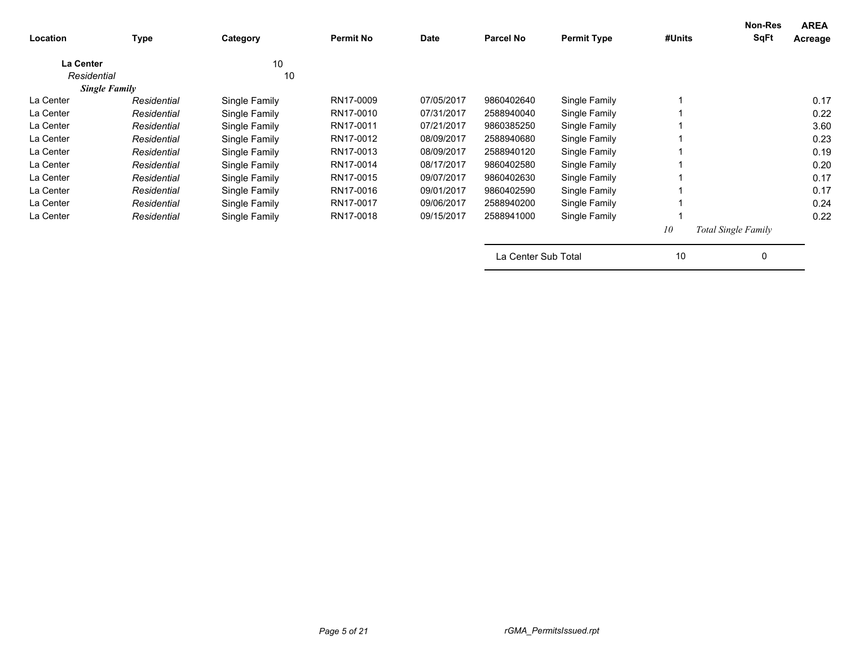| Location         | <b>Type</b>          | Category      | <b>Permit No</b> | Date       | <b>Parcel No</b>    | <b>Permit Type</b> | #Units | <b>Non-Res</b><br><b>SqFt</b> | <b>AREA</b><br>Acreage |
|------------------|----------------------|---------------|------------------|------------|---------------------|--------------------|--------|-------------------------------|------------------------|
| <b>La Center</b> |                      | 10            |                  |            |                     |                    |        |                               |                        |
| Residential      |                      | 10            |                  |            |                     |                    |        |                               |                        |
|                  | <b>Single Family</b> |               |                  |            |                     |                    |        |                               |                        |
| La Center        | Residential          | Single Family | RN17-0009        | 07/05/2017 | 9860402640          | Single Family      |        |                               | 0.17                   |
| La Center        | Residential          | Single Family | RN17-0010        | 07/31/2017 | 2588940040          | Single Family      |        |                               | 0.22                   |
| La Center        | Residential          | Single Family | RN17-0011        | 07/21/2017 | 9860385250          | Single Family      |        |                               | 3.60                   |
| La Center        | Residential          | Single Family | RN17-0012        | 08/09/2017 | 2588940680          | Single Family      |        |                               | 0.23                   |
| La Center        | Residential          | Single Family | RN17-0013        | 08/09/2017 | 2588940120          | Single Family      |        |                               | 0.19                   |
| La Center        | Residential          | Single Family | RN17-0014        | 08/17/2017 | 9860402580          | Single Family      |        |                               | 0.20                   |
| La Center        | Residential          | Single Family | RN17-0015        | 09/07/2017 | 9860402630          | Single Family      |        |                               | 0.17                   |
| La Center        | Residential          | Single Family | RN17-0016        | 09/01/2017 | 9860402590          | Single Family      |        |                               | 0.17                   |
| La Center        | Residential          | Single Family | RN17-0017        | 09/06/2017 | 2588940200          | Single Family      |        |                               | 0.24                   |
| La Center        | Residential          | Single Family | RN17-0018        | 09/15/2017 | 2588941000          | Single Family      |        |                               | 0.22                   |
|                  |                      |               |                  |            |                     |                    | 10     | Total Single Family           |                        |
|                  |                      |               |                  |            | La Center Sub Total |                    | 10     | 0                             |                        |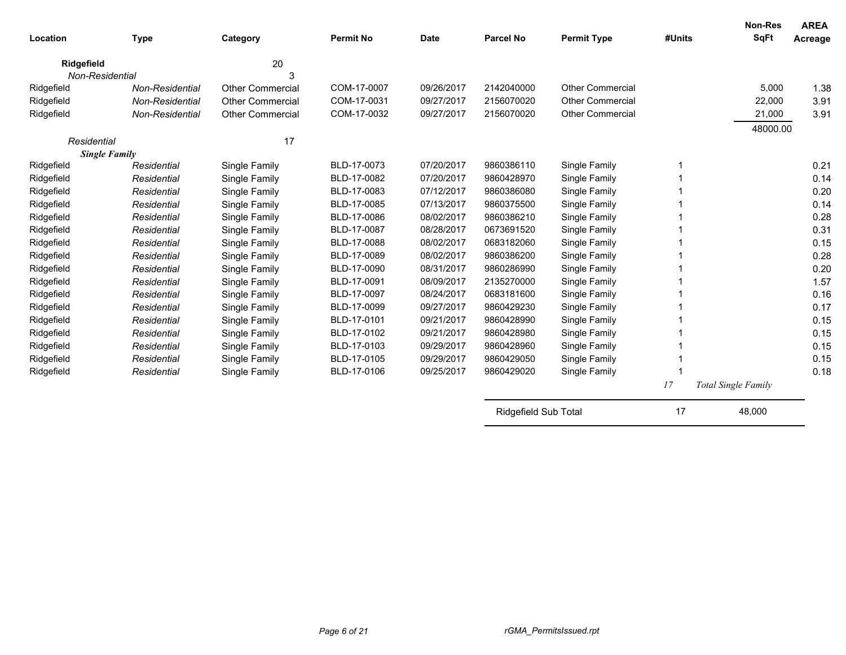| Location             | <b>Type</b>     | Category                | <b>Permit No</b> | <b>Date</b> | <b>Parcel No</b> | <b>Permit Type</b>      | #Units | <b>Non-Res</b><br><b>SqFt</b> | <b>AREA</b><br>Acreage |
|----------------------|-----------------|-------------------------|------------------|-------------|------------------|-------------------------|--------|-------------------------------|------------------------|
| <b>Ridgefield</b>    |                 | 20                      |                  |             |                  |                         |        |                               |                        |
| Non-Residential      |                 | 3                       |                  |             |                  |                         |        |                               |                        |
| Ridgefield           | Non-Residential | <b>Other Commercial</b> | COM-17-0007      | 09/26/2017  | 2142040000       | <b>Other Commercial</b> |        | 5,000                         | 1.38                   |
| Ridgefield           | Non-Residential | <b>Other Commercial</b> | COM-17-0031      | 09/27/2017  | 2156070020       | <b>Other Commercial</b> |        | 22,000                        | 3.91                   |
| Ridgefield           | Non-Residential | Other Commercial        | COM-17-0032      | 09/27/2017  | 2156070020       | <b>Other Commercial</b> |        | 21,000                        | 3.91                   |
|                      |                 |                         |                  |             |                  |                         |        | 48000.00                      |                        |
| Residential          |                 | 17                      |                  |             |                  |                         |        |                               |                        |
| <b>Single Family</b> |                 |                         |                  |             |                  |                         |        |                               |                        |
| Ridgefield           | Residential     | Single Family           | BLD-17-0073      | 07/20/2017  | 9860386110       | Single Family           |        |                               | 0.21                   |
| Ridgefield           | Residential     | Single Family           | BLD-17-0082      | 07/20/2017  | 9860428970       | Single Family           |        |                               | 0.14                   |
| Ridgefield           | Residential     | Single Family           | BLD-17-0083      | 07/12/2017  | 9860386080       | Single Family           |        |                               | 0.20                   |
| Ridgefield           | Residential     | Single Family           | BLD-17-0085      | 07/13/2017  | 9860375500       | Single Family           |        |                               | 0.14                   |
| Ridgefield           | Residential     | Single Family           | BLD-17-0086      | 08/02/2017  | 9860386210       | Single Family           |        |                               | 0.28                   |
| Ridgefield           | Residential     | Single Family           | BLD-17-0087      | 08/28/2017  | 0673691520       | Single Family           |        |                               | 0.31                   |
| Ridgefield           | Residential     | Single Family           | BLD-17-0088      | 08/02/2017  | 0683182060       | Single Family           |        |                               | 0.15                   |
| Ridgefield           | Residential     | Single Family           | BLD-17-0089      | 08/02/2017  | 9860386200       | Single Family           |        |                               | 0.28                   |
| Ridgefield           | Residential     | Single Family           | BLD-17-0090      | 08/31/2017  | 9860286990       | Single Family           |        |                               | 0.20                   |
| Ridgefield           | Residential     | Single Family           | BLD-17-0091      | 08/09/2017  | 2135270000       | Single Family           |        |                               | 1.57                   |
| Ridgefield           | Residential     | Single Family           | BLD-17-0097      | 08/24/2017  | 0683181600       | Single Family           |        |                               | 0.16                   |
| Ridgefield           | Residential     | Single Family           | BLD-17-0099      | 09/27/2017  | 9860429230       | Single Family           |        |                               | 0.17                   |
| Ridgefield           | Residential     | Single Family           | BLD-17-0101      | 09/21/2017  | 9860428990       | Single Family           |        |                               | 0.15                   |
| Ridgefield           | Residential     | Single Family           | BLD-17-0102      | 09/21/2017  | 9860428980       | Single Family           |        |                               | 0.15                   |
| Ridgefield           | Residential     | Single Family           | BLD-17-0103      | 09/29/2017  | 9860428960       | Single Family           |        |                               | 0.15                   |
| Ridgefield           | Residential     | Single Family           | BLD-17-0105      | 09/29/2017  | 9860429050       | Single Family           |        |                               | 0.15                   |
| Ridgefield           | Residential     | Single Family           | BLD-17-0106      | 09/25/2017  | 9860429020       | Single Family           |        |                               | 0.18                   |
|                      |                 |                         |                  |             |                  |                         | 17     | Total Single Family           |                        |

Ridgefield Sub Total 17 17 48,000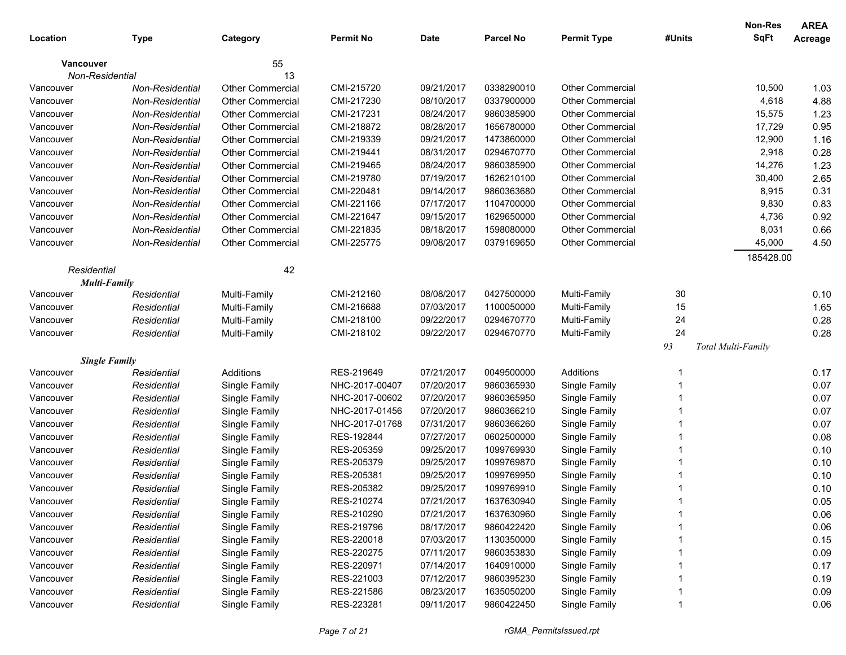|             |                        |                         |                  |             |                  |                         |        | Non-Res            | <b>AREA</b> |
|-------------|------------------------|-------------------------|------------------|-------------|------------------|-------------------------|--------|--------------------|-------------|
| Location    | <b>Type</b>            | Category                | <b>Permit No</b> | <b>Date</b> | <b>Parcel No</b> | <b>Permit Type</b>      | #Units | <b>SqFt</b>        | Acreage     |
| Vancouver   |                        | 55                      |                  |             |                  |                         |        |                    |             |
|             | Non-Residential        | 13                      |                  |             |                  |                         |        |                    |             |
| Vancouver   | <b>Non-Residential</b> | <b>Other Commercial</b> | CMI-215720       | 09/21/2017  | 0338290010       | <b>Other Commercial</b> |        | 10,500             | 1.03        |
| Vancouver   | <b>Non-Residential</b> | <b>Other Commercial</b> | CMI-217230       | 08/10/2017  | 0337900000       | <b>Other Commercial</b> |        | 4,618              | 4.88        |
| Vancouver   | <b>Non-Residential</b> | <b>Other Commercial</b> | CMI-217231       | 08/24/2017  | 9860385900       | <b>Other Commercial</b> |        | 15,575             | 1.23        |
| Vancouver   | <b>Non-Residential</b> | <b>Other Commercial</b> | CMI-218872       | 08/28/2017  | 1656780000       | <b>Other Commercial</b> |        | 17,729             | 0.95        |
| Vancouver   | <b>Non-Residential</b> | <b>Other Commercial</b> | CMI-219339       | 09/21/2017  | 1473860000       | <b>Other Commercial</b> |        | 12,900             | 1.16        |
| Vancouver   | <b>Non-Residential</b> | <b>Other Commercial</b> | CMI-219441       | 08/31/2017  | 0294670770       | <b>Other Commercial</b> |        | 2,918              | 0.28        |
| Vancouver   | <b>Non-Residential</b> | <b>Other Commercial</b> | CMI-219465       | 08/24/2017  | 9860385900       | <b>Other Commercial</b> |        | 14,276             | 1.23        |
| Vancouver   | <b>Non-Residential</b> | Other Commercial        | CMI-219780       | 07/19/2017  | 1626210100       | <b>Other Commercial</b> |        | 30,400             | 2.65        |
| Vancouver   | <b>Non-Residential</b> | Other Commercial        | CMI-220481       | 09/14/2017  | 9860363680       | <b>Other Commercial</b> |        | 8,915              | 0.31        |
| Vancouver   | <b>Non-Residential</b> | <b>Other Commercial</b> | CMI-221166       | 07/17/2017  | 1104700000       | <b>Other Commercial</b> |        | 9,830              | 0.83        |
| Vancouver   | <b>Non-Residential</b> | Other Commercial        | CMI-221647       | 09/15/2017  | 1629650000       | <b>Other Commercial</b> |        | 4,736              | 0.92        |
| Vancouver   | <b>Non-Residential</b> | Other Commercial        | CMI-221835       | 08/18/2017  | 1598080000       | <b>Other Commercial</b> |        | 8,031              | 0.66        |
| Vancouver   | <b>Non-Residential</b> | <b>Other Commercial</b> | CMI-225775       | 09/08/2017  | 0379169650       | Other Commercial        |        | 45,000             | 4.50        |
|             |                        |                         |                  |             |                  |                         |        | 185428.00          |             |
| Residential |                        | 42                      |                  |             |                  |                         |        |                    |             |
|             | Multi-Family           |                         |                  |             |                  |                         |        |                    |             |
| Vancouver   | Residential            | Multi-Family            | CMI-212160       | 08/08/2017  | 0427500000       | Multi-Family            | 30     |                    | 0.10        |
| Vancouver   | Residential            | Multi-Family            | CMI-216688       | 07/03/2017  | 1100050000       | Multi-Family            | 15     |                    | 1.65        |
| Vancouver   | Residential            | Multi-Family            | CMI-218100       | 09/22/2017  | 0294670770       | Multi-Family            | 24     |                    | 0.28        |
| Vancouver   | Residential            | Multi-Family            | CMI-218102       | 09/22/2017  | 0294670770       | Multi-Family            | 24     |                    | 0.28        |
|             |                        |                         |                  |             |                  |                         | 93     | Total Multi-Family |             |
|             | <b>Single Family</b>   |                         |                  |             |                  |                         |        |                    |             |
| Vancouver   | Residential            | Additions               | RES-219649       | 07/21/2017  | 0049500000       | Additions               |        |                    | 0.17        |
| Vancouver   | Residential            | Single Family           | NHC-2017-00407   | 07/20/2017  | 9860365930       | Single Family           |        |                    | 0.07        |
| Vancouver   | Residential            | Single Family           | NHC-2017-00602   | 07/20/2017  | 9860365950       | Single Family           |        |                    | 0.07        |
| Vancouver   | Residential            | Single Family           | NHC-2017-01456   | 07/20/2017  | 9860366210       | Single Family           |        |                    | 0.07        |
| Vancouver   | Residential            | Single Family           | NHC-2017-01768   | 07/31/2017  | 9860366260       | Single Family           |        |                    | 0.07        |
| Vancouver   | Residential            | Single Family           | RES-192844       | 07/27/2017  | 0602500000       | Single Family           |        |                    | 0.08        |
| Vancouver   | Residential            | Single Family           | RES-205359       | 09/25/2017  | 1099769930       | Single Family           |        |                    | 0.10        |
| Vancouver   | Residential            | Single Family           | RES-205379       | 09/25/2017  | 1099769870       | Single Family           |        |                    | 0.10        |
| Vancouver   | Residential            | Single Family           | RES-205381       | 09/25/2017  | 1099769950       | Single Family           |        |                    | 0.10        |
| Vancouver   | Residential            | Single Family           | RES-205382       | 09/25/2017  | 1099769910       | Single Family           |        |                    | 0.10        |
| Vancouver   | Residential            | Single Family           | RES-210274       | 07/21/2017  | 1637630940       | Single Family           |        |                    | 0.05        |
| Vancouver   | Residential            | Single Family           | RES-210290       | 07/21/2017  | 1637630960       | Single Family           |        |                    | 0.06        |
| Vancouver   | Residential            | Single Family           | RES-219796       | 08/17/2017  | 9860422420       | Single Family           |        |                    | 0.06        |
| Vancouver   | Residential            | Single Family           | RES-220018       | 07/03/2017  | 1130350000       | Single Family           |        |                    | 0.15        |
| Vancouver   | Residential            | Single Family           | RES-220275       | 07/11/2017  | 9860353830       | Single Family           |        |                    | 0.09        |
| Vancouver   | Residential            | Single Family           | RES-220971       | 07/14/2017  | 1640910000       | Single Family           |        |                    | 0.17        |
| Vancouver   | Residential            | Single Family           | RES-221003       | 07/12/2017  | 9860395230       | Single Family           |        |                    | 0.19        |
| Vancouver   | Residential            | Single Family           | RES-221586       | 08/23/2017  | 1635050200       | Single Family           |        |                    | 0.09        |
| Vancouver   | Residential            | Single Family           | RES-223281       | 09/11/2017  | 9860422450       | Single Family           |        |                    | 0.06        |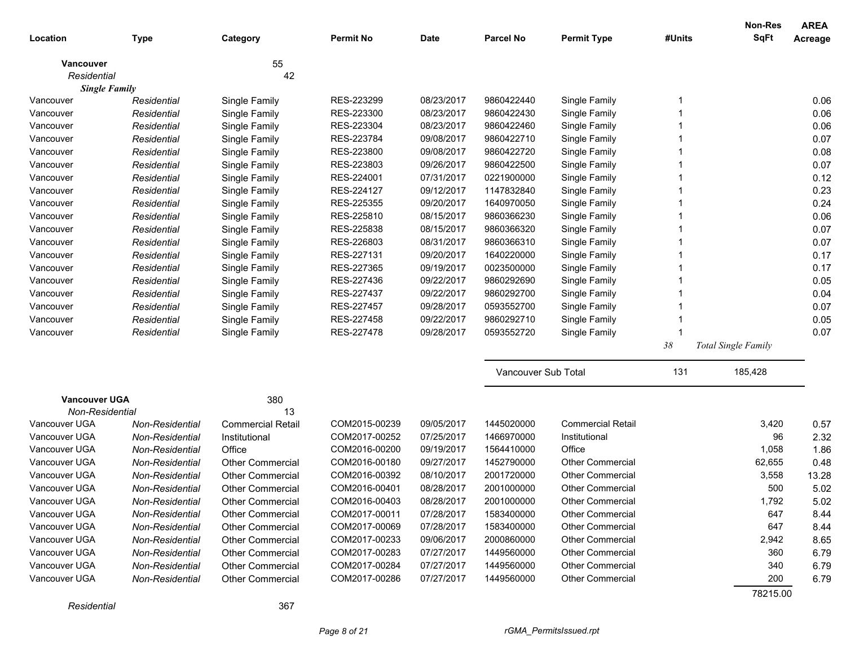|                      |                 |                          |                  |             |                     |                          |        | <b>Non-Res</b>      | <b>AREA</b> |
|----------------------|-----------------|--------------------------|------------------|-------------|---------------------|--------------------------|--------|---------------------|-------------|
| Location             | <b>Type</b>     | Category                 | <b>Permit No</b> | <b>Date</b> | <b>Parcel No</b>    | <b>Permit Type</b>       | #Units | <b>SqFt</b>         | Acreage     |
| Vancouver            |                 | 55                       |                  |             |                     |                          |        |                     |             |
| Residential          |                 | 42                       |                  |             |                     |                          |        |                     |             |
| <b>Single Family</b> |                 |                          |                  |             |                     |                          |        |                     |             |
| Vancouver            | Residential     | Single Family            | RES-223299       | 08/23/2017  | 9860422440          | Single Family            |        |                     | 0.06        |
| Vancouver            | Residential     | Single Family            | RES-223300       | 08/23/2017  | 9860422430          | Single Family            |        |                     | 0.06        |
| Vancouver            | Residential     | Single Family            | RES-223304       | 08/23/2017  | 9860422460          | Single Family            |        |                     | 0.06        |
| Vancouver            | Residential     | Single Family            | RES-223784       | 09/08/2017  | 9860422710          | Single Family            |        |                     | 0.07        |
| Vancouver            | Residential     | Single Family            | RES-223800       | 09/08/2017  | 9860422720          | Single Family            |        |                     | 0.08        |
| Vancouver            | Residential     | Single Family            | RES-223803       | 09/26/2017  | 9860422500          | Single Family            |        |                     | 0.07        |
| Vancouver            | Residential     | Single Family            | RES-224001       | 07/31/2017  | 0221900000          | Single Family            |        |                     | 0.12        |
| Vancouver            | Residential     | Single Family            | RES-224127       | 09/12/2017  | 1147832840          | Single Family            |        |                     | 0.23        |
| Vancouver            | Residential     | Single Family            | RES-225355       | 09/20/2017  | 1640970050          | Single Family            |        |                     | 0.24        |
| Vancouver            | Residential     | Single Family            | RES-225810       | 08/15/2017  | 9860366230          | Single Family            |        |                     | 0.06        |
| Vancouver            | Residential     | Single Family            | RES-225838       | 08/15/2017  | 9860366320          | Single Family            |        |                     | 0.07        |
| Vancouver            | Residential     | Single Family            | RES-226803       | 08/31/2017  | 9860366310          | Single Family            |        |                     | 0.07        |
| Vancouver            | Residential     | Single Family            | RES-227131       | 09/20/2017  | 1640220000          | Single Family            |        |                     | 0.17        |
| Vancouver            | Residential     | Single Family            | RES-227365       | 09/19/2017  | 0023500000          | Single Family            |        |                     | 0.17        |
| Vancouver            | Residential     | Single Family            | RES-227436       | 09/22/2017  | 9860292690          | Single Family            |        |                     | 0.05        |
| Vancouver            | Residential     | Single Family            | RES-227437       | 09/22/2017  | 9860292700          | Single Family            |        |                     | 0.04        |
| Vancouver            | Residential     | Single Family            | RES-227457       | 09/28/2017  | 0593552700          | Single Family            |        |                     | 0.07        |
| Vancouver            | Residential     | Single Family            | RES-227458       | 09/22/2017  | 9860292710          | Single Family            |        |                     | 0.05        |
| Vancouver            | Residential     | Single Family            | RES-227478       | 09/28/2017  | 0593552720          | Single Family            |        |                     | 0.07        |
|                      |                 |                          |                  |             |                     |                          | $38\,$ | Total Single Family |             |
|                      |                 |                          |                  |             | Vancouver Sub Total |                          | 131    | 185,428             |             |
| <b>Vancouver UGA</b> |                 | 380                      |                  |             |                     |                          |        |                     |             |
| Non-Residential      |                 | 13                       |                  |             |                     |                          |        |                     |             |
| Vancouver UGA        | Non-Residential | <b>Commercial Retail</b> | COM2015-00239    | 09/05/2017  | 1445020000          | <b>Commercial Retail</b> |        | 3,420               | 0.57        |
| Vancouver UGA        | Non-Residential | Institutional            | COM2017-00252    | 07/25/2017  | 1466970000          | Institutional            |        | 96                  | 2.32        |
| Vancouver UGA        | Non-Residential | Office                   | COM2016-00200    | 09/19/2017  | 1564410000          | Office                   |        | 1,058               | 1.86        |
| Vancouver UGA        | Non-Residential | <b>Other Commercial</b>  | COM2016-00180    | 09/27/2017  | 1452790000          | <b>Other Commercial</b>  |        | 62,655              | 0.48        |
| Vancouver UGA        | Non-Residential | <b>Other Commercial</b>  | COM2016-00392    | 08/10/2017  | 2001720000          | <b>Other Commercial</b>  |        | 3,558               | 13.28       |
| Vancouver UGA        | Non-Residential | <b>Other Commercial</b>  | COM2016-00401    | 08/28/2017  | 2001000000          | <b>Other Commercial</b>  |        | 500                 | 5.02        |
| Vancouver UGA        | Non-Residential | Other Commercial         | COM2016-00403    | 08/28/2017  | 2001000000          | Other Commercial         |        | 1,792               | 5.02        |
| Vancouver UGA        | Non-Residential | <b>Other Commercial</b>  | COM2017-00011    | 07/28/2017  | 1583400000          | <b>Other Commercial</b>  |        | 647                 | 8.44        |
| Vancouver UGA        | Non-Residential | <b>Other Commercial</b>  | COM2017-00069    | 07/28/2017  | 1583400000          | Other Commercial         |        | 647                 | 8.44        |
| Vancouver UGA        | Non-Residential | <b>Other Commercial</b>  | COM2017-00233    | 09/06/2017  | 2000860000          | Other Commercial         |        | 2,942               | 8.65        |
| Vancouver UGA        | Non-Residential | <b>Other Commercial</b>  | COM2017-00283    | 07/27/2017  | 1449560000          | <b>Other Commercial</b>  |        | 360                 | 6.79        |
| Vancouver UGA        | Non-Residential | <b>Other Commercial</b>  | COM2017-00284    | 07/27/2017  | 1449560000          | <b>Other Commercial</b>  |        | 340                 | 6.79        |
| Vancouver UGA        | Non-Residential | <b>Other Commercial</b>  | COM2017-00286    | 07/27/2017  | 1449560000          | <b>Other Commercial</b>  |        | 200                 | 6.79        |
|                      |                 |                          |                  |             |                     |                          |        | 78215.00            |             |

*Residential* 367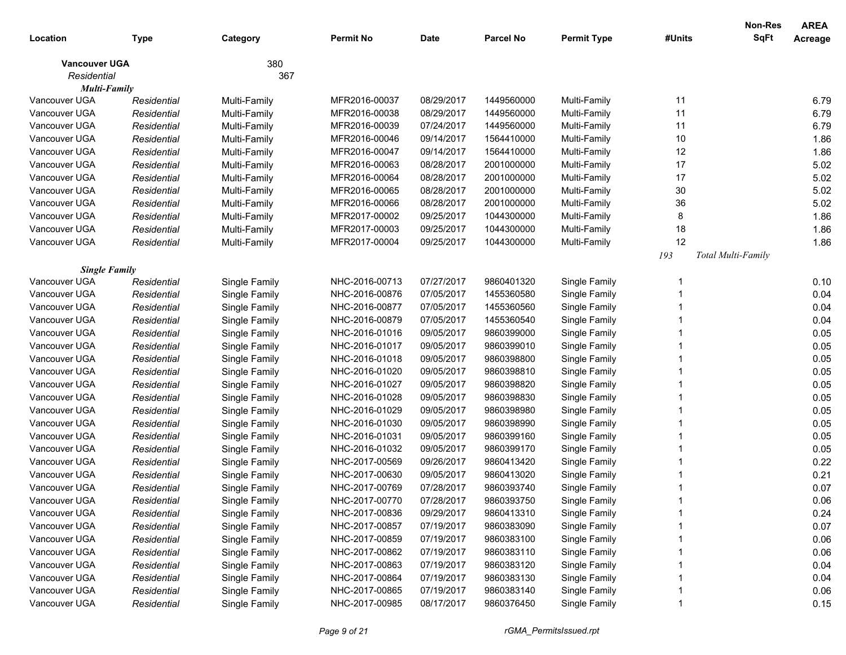|                      |             |               |                  |            |                  |                    |        | <b>Non-Res</b>     | <b>AREA</b> |
|----------------------|-------------|---------------|------------------|------------|------------------|--------------------|--------|--------------------|-------------|
| Location             | <b>Type</b> | Category      | <b>Permit No</b> | Date       | <b>Parcel No</b> | <b>Permit Type</b> | #Units | <b>SqFt</b>        | Acreage     |
| <b>Vancouver UGA</b> |             | 380           |                  |            |                  |                    |        |                    |             |
| Residential          |             | 367           |                  |            |                  |                    |        |                    |             |
| Multi-Family         |             |               |                  |            |                  |                    |        |                    |             |
| Vancouver UGA        | Residential | Multi-Family  | MFR2016-00037    | 08/29/2017 | 1449560000       | Multi-Family       | 11     |                    | 6.79        |
| Vancouver UGA        | Residential | Multi-Family  | MFR2016-00038    | 08/29/2017 | 1449560000       | Multi-Family       | 11     |                    | 6.79        |
| Vancouver UGA        | Residential | Multi-Family  | MFR2016-00039    | 07/24/2017 | 1449560000       | Multi-Family       | 11     |                    | 6.79        |
| Vancouver UGA        | Residential | Multi-Family  | MFR2016-00046    | 09/14/2017 | 1564410000       | Multi-Family       | 10     |                    | 1.86        |
| Vancouver UGA        | Residential | Multi-Family  | MFR2016-00047    | 09/14/2017 | 1564410000       | Multi-Family       | 12     |                    | 1.86        |
| Vancouver UGA        | Residential | Multi-Family  | MFR2016-00063    | 08/28/2017 | 2001000000       | Multi-Family       | 17     |                    | 5.02        |
| Vancouver UGA        | Residential | Multi-Family  | MFR2016-00064    | 08/28/2017 | 2001000000       | Multi-Family       | 17     |                    | 5.02        |
| Vancouver UGA        | Residential | Multi-Family  | MFR2016-00065    | 08/28/2017 | 2001000000       | Multi-Family       | 30     |                    | 5.02        |
| Vancouver UGA        | Residential | Multi-Family  | MFR2016-00066    | 08/28/2017 | 2001000000       | Multi-Family       | 36     |                    | 5.02        |
| Vancouver UGA        | Residential | Multi-Family  | MFR2017-00002    | 09/25/2017 | 1044300000       | Multi-Family       | 8      |                    | 1.86        |
| Vancouver UGA        | Residential | Multi-Family  | MFR2017-00003    | 09/25/2017 | 1044300000       | Multi-Family       | 18     |                    | 1.86        |
| Vancouver UGA        | Residential | Multi-Family  | MFR2017-00004    | 09/25/2017 | 1044300000       | Multi-Family       | 12     |                    | 1.86        |
|                      |             |               |                  |            |                  |                    | 193    | Total Multi-Family |             |
| <b>Single Family</b> |             |               |                  |            |                  |                    |        |                    |             |
| Vancouver UGA        | Residential | Single Family | NHC-2016-00713   | 07/27/2017 | 9860401320       | Single Family      |        |                    | 0.10        |
| Vancouver UGA        | Residential | Single Family | NHC-2016-00876   | 07/05/2017 | 1455360580       | Single Family      |        |                    | 0.04        |
| Vancouver UGA        | Residential | Single Family | NHC-2016-00877   | 07/05/2017 | 1455360560       | Single Family      |        |                    | 0.04        |
| Vancouver UGA        | Residential | Single Family | NHC-2016-00879   | 07/05/2017 | 1455360540       | Single Family      |        |                    | 0.04        |
| Vancouver UGA        | Residential | Single Family | NHC-2016-01016   | 09/05/2017 | 9860399000       | Single Family      |        |                    | 0.05        |
| Vancouver UGA        | Residential | Single Family | NHC-2016-01017   | 09/05/2017 | 9860399010       | Single Family      |        |                    | 0.05        |
| Vancouver UGA        | Residential | Single Family | NHC-2016-01018   | 09/05/2017 | 9860398800       | Single Family      |        |                    | 0.05        |
| Vancouver UGA        | Residential | Single Family | NHC-2016-01020   | 09/05/2017 | 9860398810       | Single Family      |        |                    | 0.05        |
| Vancouver UGA        | Residential | Single Family | NHC-2016-01027   | 09/05/2017 | 9860398820       | Single Family      |        |                    | 0.05        |
| Vancouver UGA        | Residential | Single Family | NHC-2016-01028   | 09/05/2017 | 9860398830       | Single Family      |        |                    | 0.05        |
| Vancouver UGA        | Residential | Single Family | NHC-2016-01029   | 09/05/2017 | 9860398980       | Single Family      |        |                    | 0.05        |
| Vancouver UGA        | Residential | Single Family | NHC-2016-01030   | 09/05/2017 | 9860398990       | Single Family      |        |                    | 0.05        |
| Vancouver UGA        | Residential | Single Family | NHC-2016-01031   | 09/05/2017 | 9860399160       | Single Family      |        |                    | 0.05        |
| Vancouver UGA        | Residential | Single Family | NHC-2016-01032   | 09/05/2017 | 9860399170       | Single Family      |        |                    | 0.05        |
| Vancouver UGA        | Residential | Single Family | NHC-2017-00569   | 09/26/2017 | 9860413420       | Single Family      |        |                    | 0.22        |
| Vancouver UGA        | Residential | Single Family | NHC-2017-00630   | 09/05/2017 | 9860413020       | Single Family      |        |                    | 0.21        |
| Vancouver UGA        | Residential | Single Family | NHC-2017-00769   | 07/28/2017 | 9860393740       | Single Family      |        |                    | 0.07        |
| Vancouver UGA        | Residential | Single Family | NHC-2017-00770   | 07/28/2017 | 9860393750       | Single Family      |        |                    | 0.06        |
| Vancouver UGA        | Residential | Single Family | NHC-2017-00836   | 09/29/2017 | 9860413310       | Single Family      |        |                    | 0.24        |
| Vancouver UGA        | Residential | Single Family | NHC-2017-00857   | 07/19/2017 | 9860383090       | Single Family      |        |                    | 0.07        |
| Vancouver UGA        | Residential | Single Family | NHC-2017-00859   | 07/19/2017 | 9860383100       | Single Family      |        |                    | 0.06        |
| Vancouver UGA        | Residential | Single Family | NHC-2017-00862   | 07/19/2017 | 9860383110       | Single Family      |        |                    | 0.06        |
| Vancouver UGA        | Residential | Single Family | NHC-2017-00863   | 07/19/2017 | 9860383120       | Single Family      |        |                    | 0.04        |
| Vancouver UGA        | Residential | Single Family | NHC-2017-00864   | 07/19/2017 | 9860383130       | Single Family      |        |                    | 0.04        |
| Vancouver UGA        | Residential | Single Family | NHC-2017-00865   | 07/19/2017 | 9860383140       | Single Family      |        |                    | 0.06        |
| Vancouver UGA        | Residential | Single Family | NHC-2017-00985   | 08/17/2017 | 9860376450       | Single Family      |        |                    | 0.15        |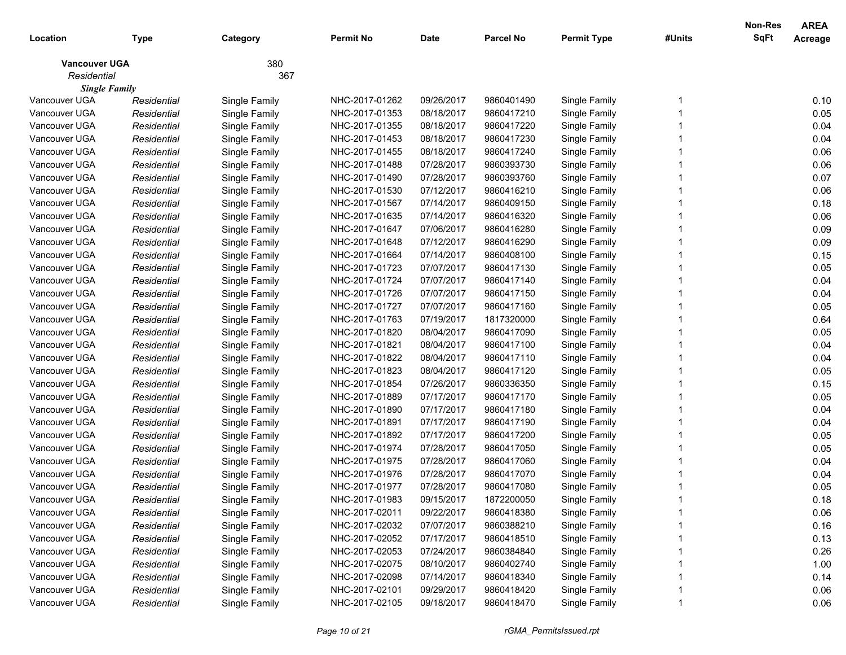|                      |             |               |                  |            |                  |                    |        | <b>Non-Res</b> | <b>AREA</b> |
|----------------------|-------------|---------------|------------------|------------|------------------|--------------------|--------|----------------|-------------|
| Location             | Type        | Category      | <b>Permit No</b> | Date       | <b>Parcel No</b> | <b>Permit Type</b> | #Units | <b>SqFt</b>    | Acreage     |
| <b>Vancouver UGA</b> |             | 380           |                  |            |                  |                    |        |                |             |
| Residential          |             | 367           |                  |            |                  |                    |        |                |             |
| <b>Single Family</b> |             |               |                  |            |                  |                    |        |                |             |
| Vancouver UGA        | Residential | Single Family | NHC-2017-01262   | 09/26/2017 | 9860401490       | Single Family      |        |                | 0.10        |
| Vancouver UGA        | Residential | Single Family | NHC-2017-01353   | 08/18/2017 | 9860417210       | Single Family      |        |                | 0.05        |
| Vancouver UGA        | Residential | Single Family | NHC-2017-01355   | 08/18/2017 | 9860417220       | Single Family      |        |                | 0.04        |
| Vancouver UGA        | Residential | Single Family | NHC-2017-01453   | 08/18/2017 | 9860417230       | Single Family      |        |                | 0.04        |
| Vancouver UGA        | Residential | Single Family | NHC-2017-01455   | 08/18/2017 | 9860417240       | Single Family      |        |                | 0.06        |
| Vancouver UGA        | Residential | Single Family | NHC-2017-01488   | 07/28/2017 | 9860393730       | Single Family      |        |                | 0.06        |
| Vancouver UGA        | Residential | Single Family | NHC-2017-01490   | 07/28/2017 | 9860393760       | Single Family      |        |                | 0.07        |
| Vancouver UGA        | Residential | Single Family | NHC-2017-01530   | 07/12/2017 | 9860416210       | Single Family      |        |                | 0.06        |
| Vancouver UGA        | Residential | Single Family | NHC-2017-01567   | 07/14/2017 | 9860409150       | Single Family      |        |                | 0.18        |
| Vancouver UGA        | Residential | Single Family | NHC-2017-01635   | 07/14/2017 | 9860416320       | Single Family      |        |                | 0.06        |
| Vancouver UGA        | Residential | Single Family | NHC-2017-01647   | 07/06/2017 | 9860416280       | Single Family      |        |                | 0.09        |
| Vancouver UGA        | Residential | Single Family | NHC-2017-01648   | 07/12/2017 | 9860416290       | Single Family      |        |                | 0.09        |
| Vancouver UGA        | Residential | Single Family | NHC-2017-01664   | 07/14/2017 | 9860408100       | Single Family      |        |                | 0.15        |
| Vancouver UGA        | Residential | Single Family | NHC-2017-01723   | 07/07/2017 | 9860417130       | Single Family      |        |                | 0.05        |
| Vancouver UGA        | Residential | Single Family | NHC-2017-01724   | 07/07/2017 | 9860417140       | Single Family      |        |                | 0.04        |
| Vancouver UGA        | Residential | Single Family | NHC-2017-01726   | 07/07/2017 | 9860417150       | Single Family      |        |                | 0.04        |
| Vancouver UGA        | Residential | Single Family | NHC-2017-01727   | 07/07/2017 | 9860417160       | Single Family      |        |                | 0.05        |
| Vancouver UGA        | Residential | Single Family | NHC-2017-01763   | 07/19/2017 | 1817320000       | Single Family      |        |                | 0.64        |
| Vancouver UGA        | Residential | Single Family | NHC-2017-01820   | 08/04/2017 | 9860417090       | Single Family      |        |                | 0.05        |
| Vancouver UGA        | Residential | Single Family | NHC-2017-01821   | 08/04/2017 | 9860417100       | Single Family      |        |                | 0.04        |
| Vancouver UGA        | Residential | Single Family | NHC-2017-01822   | 08/04/2017 | 9860417110       | Single Family      |        |                | 0.04        |
| Vancouver UGA        | Residential | Single Family | NHC-2017-01823   | 08/04/2017 | 9860417120       | Single Family      |        |                | 0.05        |
| Vancouver UGA        | Residential | Single Family | NHC-2017-01854   | 07/26/2017 | 9860336350       | Single Family      |        |                | 0.15        |
| Vancouver UGA        | Residential | Single Family | NHC-2017-01889   | 07/17/2017 | 9860417170       | Single Family      |        |                | 0.05        |
| Vancouver UGA        | Residential | Single Family | NHC-2017-01890   | 07/17/2017 | 9860417180       | Single Family      |        |                | 0.04        |
| Vancouver UGA        | Residential | Single Family | NHC-2017-01891   | 07/17/2017 | 9860417190       | Single Family      |        |                | 0.04        |
| Vancouver UGA        | Residential | Single Family | NHC-2017-01892   | 07/17/2017 | 9860417200       | Single Family      |        |                | 0.05        |
| Vancouver UGA        | Residential | Single Family | NHC-2017-01974   | 07/28/2017 | 9860417050       | Single Family      |        |                | 0.05        |
| Vancouver UGA        | Residential | Single Family | NHC-2017-01975   | 07/28/2017 | 9860417060       | Single Family      |        |                | 0.04        |
| Vancouver UGA        | Residential | Single Family | NHC-2017-01976   | 07/28/2017 | 9860417070       | Single Family      |        |                | 0.04        |
| Vancouver UGA        | Residential | Single Family | NHC-2017-01977   | 07/28/2017 | 9860417080       | Single Family      |        |                | 0.05        |
| Vancouver UGA        | Residential | Single Family | NHC-2017-01983   | 09/15/2017 | 1872200050       | Single Family      |        |                | 0.18        |
| Vancouver UGA        | Residential | Single Family | NHC-2017-02011   | 09/22/2017 | 9860418380       | Single Family      |        |                | 0.06        |
| Vancouver UGA        | Residential | Single Family | NHC-2017-02032   | 07/07/2017 | 9860388210       | Single Family      |        |                | 0.16        |
| Vancouver UGA        | Residential | Single Family | NHC-2017-02052   | 07/17/2017 | 9860418510       | Single Family      |        |                | 0.13        |
| Vancouver UGA        | Residential | Single Family | NHC-2017-02053   | 07/24/2017 | 9860384840       | Single Family      |        |                | 0.26        |
| Vancouver UGA        | Residential | Single Family | NHC-2017-02075   | 08/10/2017 | 9860402740       | Single Family      |        |                | 1.00        |
| Vancouver UGA        | Residential | Single Family | NHC-2017-02098   | 07/14/2017 | 9860418340       | Single Family      |        |                | 0.14        |
| Vancouver UGA        | Residential | Single Family | NHC-2017-02101   | 09/29/2017 | 9860418420       | Single Family      |        |                | 0.06        |
| Vancouver UGA        | Residential | Single Family | NHC-2017-02105   | 09/18/2017 | 9860418470       | Single Family      |        |                | 0.06        |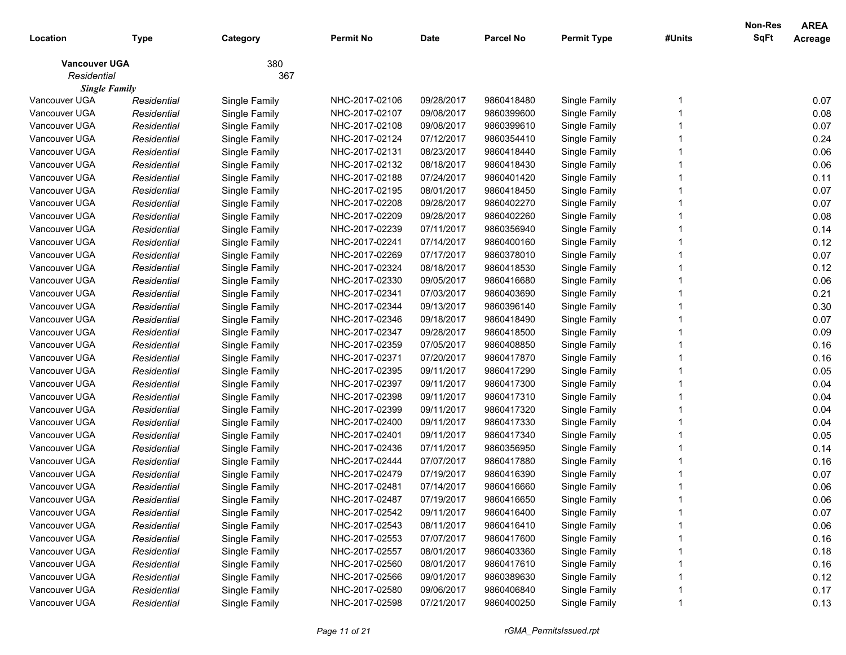|                      |             |               |                  |            |                  |                    |        | <b>Non-Res</b> | <b>AREA</b> |
|----------------------|-------------|---------------|------------------|------------|------------------|--------------------|--------|----------------|-------------|
| Location             | Type        | Category      | <b>Permit No</b> | Date       | <b>Parcel No</b> | <b>Permit Type</b> | #Units | <b>SqFt</b>    | Acreage     |
| <b>Vancouver UGA</b> |             | 380           |                  |            |                  |                    |        |                |             |
| Residential          |             | 367           |                  |            |                  |                    |        |                |             |
| <b>Single Family</b> |             |               |                  |            |                  |                    |        |                |             |
| Vancouver UGA        | Residential | Single Family | NHC-2017-02106   | 09/28/2017 | 9860418480       | Single Family      |        |                | 0.07        |
| Vancouver UGA        | Residential | Single Family | NHC-2017-02107   | 09/08/2017 | 9860399600       | Single Family      |        |                | 0.08        |
| Vancouver UGA        | Residential | Single Family | NHC-2017-02108   | 09/08/2017 | 9860399610       | Single Family      |        |                | 0.07        |
| Vancouver UGA        | Residential | Single Family | NHC-2017-02124   | 07/12/2017 | 9860354410       | Single Family      |        |                | 0.24        |
| Vancouver UGA        | Residential | Single Family | NHC-2017-02131   | 08/23/2017 | 9860418440       | Single Family      |        |                | 0.06        |
| Vancouver UGA        | Residential | Single Family | NHC-2017-02132   | 08/18/2017 | 9860418430       | Single Family      |        |                | 0.06        |
| Vancouver UGA        | Residential | Single Family | NHC-2017-02188   | 07/24/2017 | 9860401420       | Single Family      |        |                | 0.11        |
| Vancouver UGA        | Residential | Single Family | NHC-2017-02195   | 08/01/2017 | 9860418450       | Single Family      |        |                | 0.07        |
| Vancouver UGA        | Residential | Single Family | NHC-2017-02208   | 09/28/2017 | 9860402270       | Single Family      |        |                | 0.07        |
| Vancouver UGA        | Residential | Single Family | NHC-2017-02209   | 09/28/2017 | 9860402260       | Single Family      |        |                | 0.08        |
| Vancouver UGA        | Residential | Single Family | NHC-2017-02239   | 07/11/2017 | 9860356940       | Single Family      |        |                | 0.14        |
| Vancouver UGA        | Residential | Single Family | NHC-2017-02241   | 07/14/2017 | 9860400160       | Single Family      |        |                | 0.12        |
| Vancouver UGA        | Residential | Single Family | NHC-2017-02269   | 07/17/2017 | 9860378010       | Single Family      |        |                | 0.07        |
| Vancouver UGA        | Residential | Single Family | NHC-2017-02324   | 08/18/2017 | 9860418530       | Single Family      |        |                | 0.12        |
| Vancouver UGA        | Residential | Single Family | NHC-2017-02330   | 09/05/2017 | 9860416680       | Single Family      |        |                | 0.06        |
| Vancouver UGA        | Residential | Single Family | NHC-2017-02341   | 07/03/2017 | 9860403690       | Single Family      |        |                | 0.21        |
| Vancouver UGA        | Residential | Single Family | NHC-2017-02344   | 09/13/2017 | 9860396140       | Single Family      |        |                | 0.30        |
| Vancouver UGA        | Residential | Single Family | NHC-2017-02346   | 09/18/2017 | 9860418490       | Single Family      |        |                | 0.07        |
| Vancouver UGA        | Residential | Single Family | NHC-2017-02347   | 09/28/2017 | 9860418500       | Single Family      |        |                | 0.09        |
| Vancouver UGA        | Residential | Single Family | NHC-2017-02359   | 07/05/2017 | 9860408850       | Single Family      |        |                | 0.16        |
| Vancouver UGA        | Residential | Single Family | NHC-2017-02371   | 07/20/2017 | 9860417870       | Single Family      |        |                | 0.16        |
| Vancouver UGA        | Residential | Single Family | NHC-2017-02395   | 09/11/2017 | 9860417290       | Single Family      |        |                | 0.05        |
| Vancouver UGA        | Residential | Single Family | NHC-2017-02397   | 09/11/2017 | 9860417300       | Single Family      |        |                | 0.04        |
| Vancouver UGA        | Residential | Single Family | NHC-2017-02398   | 09/11/2017 | 9860417310       | Single Family      |        |                | 0.04        |
| Vancouver UGA        | Residential | Single Family | NHC-2017-02399   | 09/11/2017 | 9860417320       | Single Family      |        |                | 0.04        |
| Vancouver UGA        | Residential | Single Family | NHC-2017-02400   | 09/11/2017 | 9860417330       | Single Family      |        |                | 0.04        |
| Vancouver UGA        | Residential | Single Family | NHC-2017-02401   | 09/11/2017 | 9860417340       | Single Family      |        |                | 0.05        |
| Vancouver UGA        | Residential | Single Family | NHC-2017-02436   | 07/11/2017 | 9860356950       | Single Family      |        |                | 0.14        |
| Vancouver UGA        | Residential | Single Family | NHC-2017-02444   | 07/07/2017 | 9860417880       | Single Family      |        |                | 0.16        |
| Vancouver UGA        | Residential | Single Family | NHC-2017-02479   | 07/19/2017 | 9860416390       | Single Family      |        |                | 0.07        |
| Vancouver UGA        | Residential | Single Family | NHC-2017-02481   | 07/14/2017 | 9860416660       | Single Family      |        |                | 0.06        |
| Vancouver UGA        | Residential | Single Family | NHC-2017-02487   | 07/19/2017 | 9860416650       | Single Family      |        |                | 0.06        |
| Vancouver UGA        | Residential | Single Family | NHC-2017-02542   | 09/11/2017 | 9860416400       | Single Family      |        |                | 0.07        |
| Vancouver UGA        | Residential | Single Family | NHC-2017-02543   | 08/11/2017 | 9860416410       | Single Family      |        |                | 0.06        |
| Vancouver UGA        | Residential | Single Family | NHC-2017-02553   | 07/07/2017 | 9860417600       | Single Family      |        |                | 0.16        |
| Vancouver UGA        | Residential | Single Family | NHC-2017-02557   | 08/01/2017 | 9860403360       | Single Family      |        |                | 0.18        |
| Vancouver UGA        | Residential | Single Family | NHC-2017-02560   | 08/01/2017 | 9860417610       | Single Family      |        |                | 0.16        |
| Vancouver UGA        | Residential | Single Family | NHC-2017-02566   | 09/01/2017 | 9860389630       | Single Family      |        |                | 0.12        |
| Vancouver UGA        | Residential | Single Family | NHC-2017-02580   | 09/06/2017 | 9860406840       | Single Family      |        |                | 0.17        |
| Vancouver UGA        | Residential | Single Family | NHC-2017-02598   | 07/21/2017 | 9860400250       | Single Family      |        |                | 0.13        |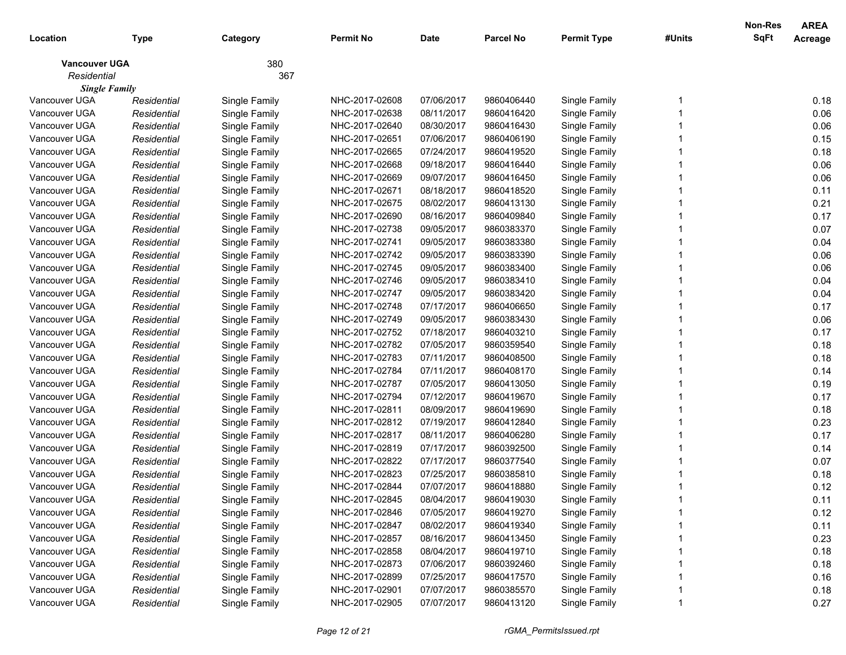|                      |             |               |                  |            |                  |                    |        | Non-Res     | <b>AREA</b> |
|----------------------|-------------|---------------|------------------|------------|------------------|--------------------|--------|-------------|-------------|
| Location             | Type        | Category      | <b>Permit No</b> | Date       | <b>Parcel No</b> | <b>Permit Type</b> | #Units | <b>SqFt</b> | Acreage     |
| <b>Vancouver UGA</b> |             | 380           |                  |            |                  |                    |        |             |             |
| Residential          |             | 367           |                  |            |                  |                    |        |             |             |
| <b>Single Family</b> |             |               |                  |            |                  |                    |        |             |             |
| Vancouver UGA        | Residential | Single Family | NHC-2017-02608   | 07/06/2017 | 9860406440       | Single Family      |        |             | 0.18        |
| Vancouver UGA        | Residential | Single Family | NHC-2017-02638   | 08/11/2017 | 9860416420       | Single Family      |        |             | 0.06        |
| Vancouver UGA        | Residential | Single Family | NHC-2017-02640   | 08/30/2017 | 9860416430       | Single Family      |        |             | 0.06        |
| Vancouver UGA        | Residential | Single Family | NHC-2017-02651   | 07/06/2017 | 9860406190       | Single Family      |        |             | 0.15        |
| Vancouver UGA        | Residential | Single Family | NHC-2017-02665   | 07/24/2017 | 9860419520       | Single Family      |        |             | 0.18        |
| Vancouver UGA        | Residential | Single Family | NHC-2017-02668   | 09/18/2017 | 9860416440       | Single Family      |        |             | 0.06        |
| Vancouver UGA        | Residential | Single Family | NHC-2017-02669   | 09/07/2017 | 9860416450       | Single Family      |        |             | 0.06        |
| Vancouver UGA        | Residential | Single Family | NHC-2017-02671   | 08/18/2017 | 9860418520       | Single Family      |        |             | 0.11        |
| Vancouver UGA        | Residential | Single Family | NHC-2017-02675   | 08/02/2017 | 9860413130       | Single Family      |        |             | 0.21        |
| Vancouver UGA        | Residential | Single Family | NHC-2017-02690   | 08/16/2017 | 9860409840       | Single Family      |        |             | 0.17        |
| Vancouver UGA        | Residential | Single Family | NHC-2017-02738   | 09/05/2017 | 9860383370       | Single Family      |        |             | 0.07        |
| Vancouver UGA        | Residential | Single Family | NHC-2017-02741   | 09/05/2017 | 9860383380       | Single Family      |        |             | 0.04        |
| Vancouver UGA        | Residential | Single Family | NHC-2017-02742   | 09/05/2017 | 9860383390       | Single Family      |        |             | 0.06        |
| Vancouver UGA        | Residential | Single Family | NHC-2017-02745   | 09/05/2017 | 9860383400       | Single Family      |        |             | 0.06        |
| Vancouver UGA        | Residential | Single Family | NHC-2017-02746   | 09/05/2017 | 9860383410       | Single Family      |        |             | 0.04        |
| Vancouver UGA        | Residential | Single Family | NHC-2017-02747   | 09/05/2017 | 9860383420       | Single Family      |        |             | 0.04        |
| Vancouver UGA        | Residential | Single Family | NHC-2017-02748   | 07/17/2017 | 9860406650       | Single Family      |        |             | 0.17        |
| Vancouver UGA        | Residential | Single Family | NHC-2017-02749   | 09/05/2017 | 9860383430       | Single Family      |        |             | 0.06        |
| Vancouver UGA        | Residential | Single Family | NHC-2017-02752   | 07/18/2017 | 9860403210       | Single Family      |        |             | 0.17        |
| Vancouver UGA        | Residential | Single Family | NHC-2017-02782   | 07/05/2017 | 9860359540       | Single Family      |        |             | 0.18        |
| Vancouver UGA        | Residential | Single Family | NHC-2017-02783   | 07/11/2017 | 9860408500       | Single Family      |        |             | 0.18        |
| Vancouver UGA        | Residential | Single Family | NHC-2017-02784   | 07/11/2017 | 9860408170       | Single Family      |        |             | 0.14        |
| Vancouver UGA        | Residential | Single Family | NHC-2017-02787   | 07/05/2017 | 9860413050       | Single Family      |        |             | 0.19        |
| Vancouver UGA        | Residential | Single Family | NHC-2017-02794   | 07/12/2017 | 9860419670       | Single Family      |        |             | 0.17        |
| Vancouver UGA        | Residential | Single Family | NHC-2017-02811   | 08/09/2017 | 9860419690       | Single Family      |        |             | 0.18        |
| Vancouver UGA        | Residential | Single Family | NHC-2017-02812   | 07/19/2017 | 9860412840       | Single Family      |        |             | 0.23        |
| Vancouver UGA        | Residential | Single Family | NHC-2017-02817   | 08/11/2017 | 9860406280       | Single Family      |        |             | 0.17        |
| Vancouver UGA        | Residential | Single Family | NHC-2017-02819   | 07/17/2017 | 9860392500       | Single Family      |        |             | 0.14        |
| Vancouver UGA        | Residential | Single Family | NHC-2017-02822   | 07/17/2017 | 9860377540       | Single Family      |        |             | 0.07        |
| Vancouver UGA        | Residential | Single Family | NHC-2017-02823   | 07/25/2017 | 9860385810       | Single Family      |        |             | 0.18        |
| Vancouver UGA        | Residential | Single Family | NHC-2017-02844   | 07/07/2017 | 9860418880       | Single Family      |        |             | 0.12        |
| Vancouver UGA        | Residential | Single Family | NHC-2017-02845   | 08/04/2017 | 9860419030       | Single Family      |        |             | 0.11        |
| Vancouver UGA        | Residential | Single Family | NHC-2017-02846   | 07/05/2017 | 9860419270       | Single Family      |        |             | 0.12        |
| Vancouver UGA        | Residential | Single Family | NHC-2017-02847   | 08/02/2017 | 9860419340       | Single Family      |        |             | 0.11        |
| Vancouver UGA        | Residential | Single Family | NHC-2017-02857   | 08/16/2017 | 9860413450       | Single Family      |        |             | 0.23        |
| Vancouver UGA        | Residential | Single Family | NHC-2017-02858   | 08/04/2017 | 9860419710       | Single Family      |        |             | 0.18        |
| Vancouver UGA        | Residential | Single Family | NHC-2017-02873   | 07/06/2017 | 9860392460       | Single Family      |        |             | 0.18        |
| Vancouver UGA        | Residential | Single Family | NHC-2017-02899   | 07/25/2017 | 9860417570       | Single Family      |        |             | 0.16        |
| Vancouver UGA        | Residential | Single Family | NHC-2017-02901   | 07/07/2017 | 9860385570       | Single Family      |        |             | 0.18        |
| Vancouver UGA        | Residential | Single Family | NHC-2017-02905   | 07/07/2017 | 9860413120       | Single Family      |        |             | 0.27        |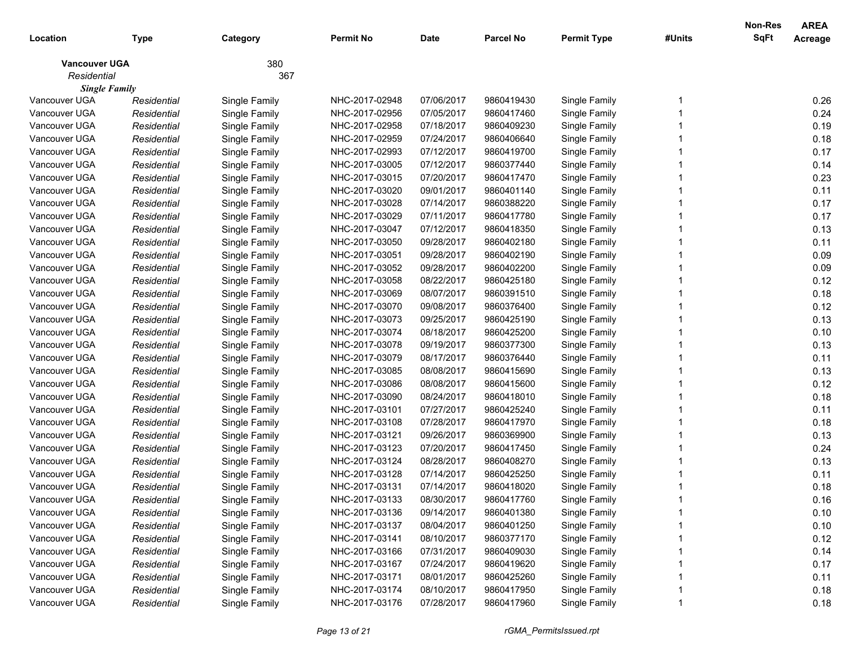|                      |             |               |                |             |                  |                    |        | Non-Res     | <b>AREA</b> |
|----------------------|-------------|---------------|----------------|-------------|------------------|--------------------|--------|-------------|-------------|
| Location             | <b>Type</b> | Category      | Permit No      | <b>Date</b> | <b>Parcel No</b> | <b>Permit Type</b> | #Units | <b>SqFt</b> | Acreage     |
| <b>Vancouver UGA</b> |             | 380           |                |             |                  |                    |        |             |             |
| Residential          |             | 367           |                |             |                  |                    |        |             |             |
| <b>Single Family</b> |             |               |                |             |                  |                    |        |             |             |
| Vancouver UGA        | Residential | Single Family | NHC-2017-02948 | 07/06/2017  | 9860419430       | Single Family      |        |             | 0.26        |
| Vancouver UGA        | Residential | Single Family | NHC-2017-02956 | 07/05/2017  | 9860417460       | Single Family      |        |             | 0.24        |
| Vancouver UGA        | Residential | Single Family | NHC-2017-02958 | 07/18/2017  | 9860409230       | Single Family      |        |             | 0.19        |
| Vancouver UGA        | Residential | Single Family | NHC-2017-02959 | 07/24/2017  | 9860406640       | Single Family      |        |             | 0.18        |
| Vancouver UGA        | Residential | Single Family | NHC-2017-02993 | 07/12/2017  | 9860419700       | Single Family      |        |             | 0.17        |
| Vancouver UGA        | Residential | Single Family | NHC-2017-03005 | 07/12/2017  | 9860377440       | Single Family      |        |             | 0.14        |
| Vancouver UGA        | Residential | Single Family | NHC-2017-03015 | 07/20/2017  | 9860417470       | Single Family      |        |             | 0.23        |
| Vancouver UGA        | Residential | Single Family | NHC-2017-03020 | 09/01/2017  | 9860401140       | Single Family      |        |             | 0.11        |
| Vancouver UGA        | Residential | Single Family | NHC-2017-03028 | 07/14/2017  | 9860388220       | Single Family      |        |             | 0.17        |
| Vancouver UGA        | Residential | Single Family | NHC-2017-03029 | 07/11/2017  | 9860417780       | Single Family      |        |             | 0.17        |
| Vancouver UGA        | Residential | Single Family | NHC-2017-03047 | 07/12/2017  | 9860418350       | Single Family      |        |             | 0.13        |
| Vancouver UGA        | Residential | Single Family | NHC-2017-03050 | 09/28/2017  | 9860402180       | Single Family      |        |             | 0.11        |
| Vancouver UGA        | Residential | Single Family | NHC-2017-03051 | 09/28/2017  | 9860402190       | Single Family      |        |             | 0.09        |
| Vancouver UGA        | Residential | Single Family | NHC-2017-03052 | 09/28/2017  | 9860402200       | Single Family      |        |             | 0.09        |
| Vancouver UGA        | Residential | Single Family | NHC-2017-03058 | 08/22/2017  | 9860425180       | Single Family      |        |             | 0.12        |
| Vancouver UGA        | Residential | Single Family | NHC-2017-03069 | 08/07/2017  | 9860391510       | Single Family      |        |             | 0.18        |
| Vancouver UGA        | Residential | Single Family | NHC-2017-03070 | 09/08/2017  | 9860376400       | Single Family      |        |             | 0.12        |
| Vancouver UGA        | Residential | Single Family | NHC-2017-03073 | 09/25/2017  | 9860425190       | Single Family      |        |             | 0.13        |
| Vancouver UGA        | Residential | Single Family | NHC-2017-03074 | 08/18/2017  | 9860425200       | Single Family      |        |             | 0.10        |
| Vancouver UGA        | Residential | Single Family | NHC-2017-03078 | 09/19/2017  | 9860377300       | Single Family      |        |             | 0.13        |
| Vancouver UGA        | Residential | Single Family | NHC-2017-03079 | 08/17/2017  | 9860376440       | Single Family      |        |             | 0.11        |
| Vancouver UGA        | Residential | Single Family | NHC-2017-03085 | 08/08/2017  | 9860415690       | Single Family      |        |             | 0.13        |
| Vancouver UGA        | Residential | Single Family | NHC-2017-03086 | 08/08/2017  | 9860415600       | Single Family      |        |             | 0.12        |
| Vancouver UGA        | Residential | Single Family | NHC-2017-03090 | 08/24/2017  | 9860418010       | Single Family      |        |             | 0.18        |
| Vancouver UGA        | Residential | Single Family | NHC-2017-03101 | 07/27/2017  | 9860425240       | Single Family      |        |             | 0.11        |
| Vancouver UGA        | Residential | Single Family | NHC-2017-03108 | 07/28/2017  | 9860417970       | Single Family      |        |             | 0.18        |
| Vancouver UGA        | Residential | Single Family | NHC-2017-03121 | 09/26/2017  | 9860369900       | Single Family      |        |             | 0.13        |
| Vancouver UGA        | Residential | Single Family | NHC-2017-03123 | 07/20/2017  | 9860417450       | Single Family      |        |             | 0.24        |
| Vancouver UGA        | Residential | Single Family | NHC-2017-03124 | 08/28/2017  | 9860408270       | Single Family      |        |             | 0.13        |
| Vancouver UGA        | Residential | Single Family | NHC-2017-03128 | 07/14/2017  | 9860425250       | Single Family      |        |             | 0.11        |
| Vancouver UGA        | Residential | Single Family | NHC-2017-03131 | 07/14/2017  | 9860418020       | Single Family      |        |             | 0.18        |
| Vancouver UGA        | Residential | Single Family | NHC-2017-03133 | 08/30/2017  | 9860417760       | Single Family      |        |             | 0.16        |
| Vancouver UGA        | Residential | Single Family | NHC-2017-03136 | 09/14/2017  | 9860401380       | Single Family      |        |             | 0.10        |
| Vancouver UGA        | Residential | Single Family | NHC-2017-03137 | 08/04/2017  | 9860401250       | Single Family      |        |             | 0.10        |
| Vancouver UGA        | Residential | Single Family | NHC-2017-03141 | 08/10/2017  | 9860377170       | Single Family      |        |             | 0.12        |
| Vancouver UGA        | Residential | Single Family | NHC-2017-03166 | 07/31/2017  | 9860409030       | Single Family      |        |             | 0.14        |
| Vancouver UGA        | Residential | Single Family | NHC-2017-03167 | 07/24/2017  | 9860419620       | Single Family      |        |             | 0.17        |
| Vancouver UGA        | Residential | Single Family | NHC-2017-03171 | 08/01/2017  | 9860425260       | Single Family      |        |             | 0.11        |
| Vancouver UGA        | Residential | Single Family | NHC-2017-03174 | 08/10/2017  | 9860417950       | Single Family      |        |             | 0.18        |
| Vancouver UGA        | Residential | Single Family | NHC-2017-03176 | 07/28/2017  | 9860417960       | Single Family      |        |             | 0.18        |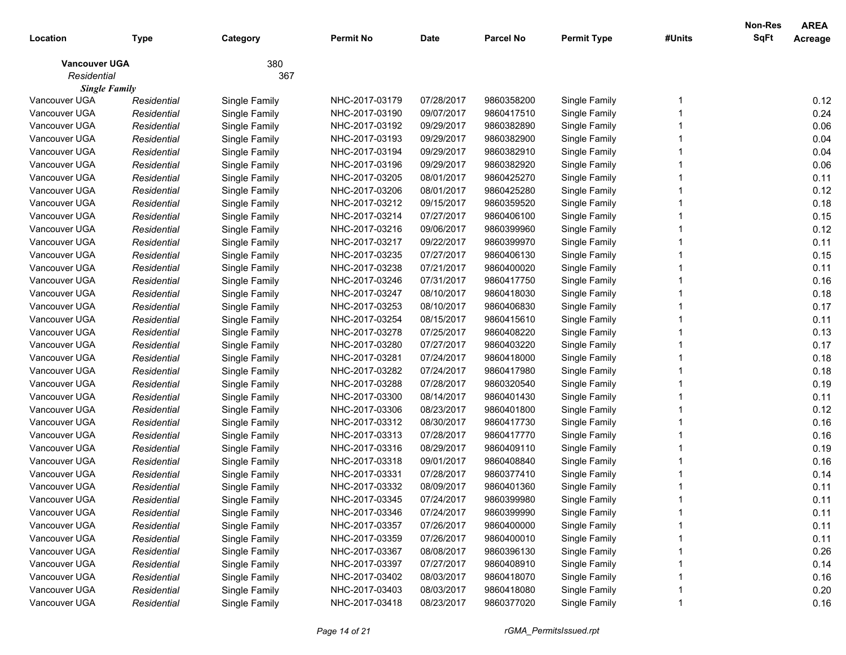|                      |             |               |                  |            |                  |                    |        | <b>Non-Res</b> | <b>AREA</b> |
|----------------------|-------------|---------------|------------------|------------|------------------|--------------------|--------|----------------|-------------|
| Location             | Type        | Category      | <b>Permit No</b> | Date       | <b>Parcel No</b> | <b>Permit Type</b> | #Units | <b>SqFt</b>    | Acreage     |
| <b>Vancouver UGA</b> |             | 380           |                  |            |                  |                    |        |                |             |
| Residential          |             | 367           |                  |            |                  |                    |        |                |             |
| <b>Single Family</b> |             |               |                  |            |                  |                    |        |                |             |
| Vancouver UGA        | Residential | Single Family | NHC-2017-03179   | 07/28/2017 | 9860358200       | Single Family      |        |                | 0.12        |
| Vancouver UGA        | Residential | Single Family | NHC-2017-03190   | 09/07/2017 | 9860417510       | Single Family      |        |                | 0.24        |
| Vancouver UGA        | Residential | Single Family | NHC-2017-03192   | 09/29/2017 | 9860382890       | Single Family      |        |                | 0.06        |
| Vancouver UGA        | Residential | Single Family | NHC-2017-03193   | 09/29/2017 | 9860382900       | Single Family      |        |                | 0.04        |
| Vancouver UGA        | Residential | Single Family | NHC-2017-03194   | 09/29/2017 | 9860382910       | Single Family      |        |                | 0.04        |
| Vancouver UGA        | Residential | Single Family | NHC-2017-03196   | 09/29/2017 | 9860382920       | Single Family      |        |                | 0.06        |
| Vancouver UGA        | Residential | Single Family | NHC-2017-03205   | 08/01/2017 | 9860425270       | Single Family      |        |                | 0.11        |
| Vancouver UGA        | Residential | Single Family | NHC-2017-03206   | 08/01/2017 | 9860425280       | Single Family      |        |                | 0.12        |
| Vancouver UGA        | Residential | Single Family | NHC-2017-03212   | 09/15/2017 | 9860359520       | Single Family      |        |                | 0.18        |
| Vancouver UGA        | Residential | Single Family | NHC-2017-03214   | 07/27/2017 | 9860406100       | Single Family      |        |                | 0.15        |
| Vancouver UGA        | Residential | Single Family | NHC-2017-03216   | 09/06/2017 | 9860399960       | Single Family      |        |                | 0.12        |
| Vancouver UGA        | Residential | Single Family | NHC-2017-03217   | 09/22/2017 | 9860399970       | Single Family      |        |                | 0.11        |
| Vancouver UGA        | Residential | Single Family | NHC-2017-03235   | 07/27/2017 | 9860406130       | Single Family      |        |                | 0.15        |
| Vancouver UGA        | Residential | Single Family | NHC-2017-03238   | 07/21/2017 | 9860400020       | Single Family      |        |                | 0.11        |
| Vancouver UGA        | Residential | Single Family | NHC-2017-03246   | 07/31/2017 | 9860417750       | Single Family      |        |                | 0.16        |
| Vancouver UGA        | Residential | Single Family | NHC-2017-03247   | 08/10/2017 | 9860418030       | Single Family      |        |                | 0.18        |
| Vancouver UGA        | Residential | Single Family | NHC-2017-03253   | 08/10/2017 | 9860406830       | Single Family      |        |                | 0.17        |
| Vancouver UGA        | Residential | Single Family | NHC-2017-03254   | 08/15/2017 | 9860415610       | Single Family      |        |                | 0.11        |
| Vancouver UGA        | Residential | Single Family | NHC-2017-03278   | 07/25/2017 | 9860408220       | Single Family      |        |                | 0.13        |
| Vancouver UGA        | Residential | Single Family | NHC-2017-03280   | 07/27/2017 | 9860403220       | Single Family      |        |                | 0.17        |
| Vancouver UGA        | Residential | Single Family | NHC-2017-03281   | 07/24/2017 | 9860418000       | Single Family      |        |                | 0.18        |
| Vancouver UGA        | Residential | Single Family | NHC-2017-03282   | 07/24/2017 | 9860417980       | Single Family      |        |                | 0.18        |
| Vancouver UGA        | Residential | Single Family | NHC-2017-03288   | 07/28/2017 | 9860320540       | Single Family      |        |                | 0.19        |
| Vancouver UGA        | Residential | Single Family | NHC-2017-03300   | 08/14/2017 | 9860401430       | Single Family      |        |                | 0.11        |
| Vancouver UGA        | Residential | Single Family | NHC-2017-03306   | 08/23/2017 | 9860401800       | Single Family      |        |                | 0.12        |
| Vancouver UGA        | Residential | Single Family | NHC-2017-03312   | 08/30/2017 | 9860417730       | Single Family      |        |                | 0.16        |
| Vancouver UGA        | Residential | Single Family | NHC-2017-03313   | 07/28/2017 | 9860417770       | Single Family      |        |                | 0.16        |
| Vancouver UGA        | Residential | Single Family | NHC-2017-03316   | 08/29/2017 | 9860409110       | Single Family      |        |                | 0.19        |
| Vancouver UGA        | Residential | Single Family | NHC-2017-03318   | 09/01/2017 | 9860408840       | Single Family      |        |                | 0.16        |
| Vancouver UGA        | Residential | Single Family | NHC-2017-03331   | 07/28/2017 | 9860377410       | Single Family      |        |                | 0.14        |
| Vancouver UGA        | Residential | Single Family | NHC-2017-03332   | 08/09/2017 | 9860401360       | Single Family      |        |                | 0.11        |
| Vancouver UGA        | Residential | Single Family | NHC-2017-03345   | 07/24/2017 | 9860399980       | Single Family      |        |                | 0.11        |
| Vancouver UGA        | Residential | Single Family | NHC-2017-03346   | 07/24/2017 | 9860399990       | Single Family      |        |                | 0.11        |
| Vancouver UGA        | Residential | Single Family | NHC-2017-03357   | 07/26/2017 | 9860400000       | Single Family      |        |                | 0.11        |
| Vancouver UGA        | Residential | Single Family | NHC-2017-03359   | 07/26/2017 | 9860400010       | Single Family      |        |                | 0.11        |
| Vancouver UGA        | Residential | Single Family | NHC-2017-03367   | 08/08/2017 | 9860396130       | Single Family      |        |                | 0.26        |
| Vancouver UGA        | Residential | Single Family | NHC-2017-03397   | 07/27/2017 | 9860408910       | Single Family      |        |                | 0.14        |
| Vancouver UGA        | Residential | Single Family | NHC-2017-03402   | 08/03/2017 | 9860418070       | Single Family      |        |                | 0.16        |
| Vancouver UGA        | Residential | Single Family | NHC-2017-03403   | 08/03/2017 | 9860418080       | Single Family      |        |                | 0.20        |
| Vancouver UGA        | Residential | Single Family | NHC-2017-03418   | 08/23/2017 | 9860377020       | Single Family      |        |                | 0.16        |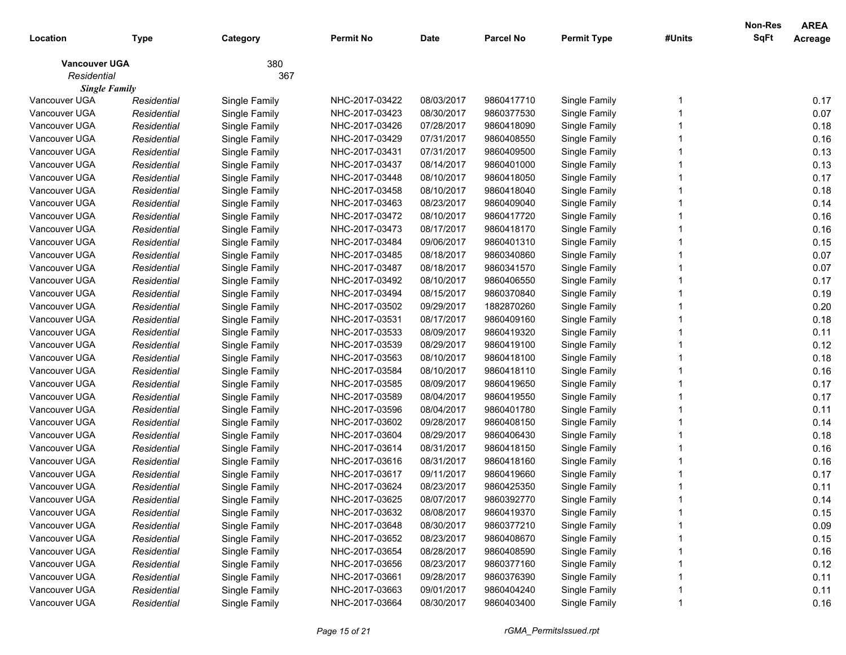|                      |             |               |                  |            |                  |                    |        | Non-Res     | <b>AREA</b> |
|----------------------|-------------|---------------|------------------|------------|------------------|--------------------|--------|-------------|-------------|
| Location             | Type        | Category      | <b>Permit No</b> | Date       | <b>Parcel No</b> | <b>Permit Type</b> | #Units | <b>SqFt</b> | Acreage     |
| <b>Vancouver UGA</b> |             | 380           |                  |            |                  |                    |        |             |             |
| Residential          |             | 367           |                  |            |                  |                    |        |             |             |
| <b>Single Family</b> |             |               |                  |            |                  |                    |        |             |             |
| Vancouver UGA        | Residential | Single Family | NHC-2017-03422   | 08/03/2017 | 9860417710       | Single Family      |        |             | 0.17        |
| Vancouver UGA        | Residential | Single Family | NHC-2017-03423   | 08/30/2017 | 9860377530       | Single Family      |        |             | 0.07        |
| Vancouver UGA        | Residential | Single Family | NHC-2017-03426   | 07/28/2017 | 9860418090       | Single Family      |        |             | 0.18        |
| Vancouver UGA        | Residential | Single Family | NHC-2017-03429   | 07/31/2017 | 9860408550       | Single Family      |        |             | 0.16        |
| Vancouver UGA        | Residential | Single Family | NHC-2017-03431   | 07/31/2017 | 9860409500       | Single Family      |        |             | 0.13        |
| Vancouver UGA        | Residential | Single Family | NHC-2017-03437   | 08/14/2017 | 9860401000       | Single Family      |        |             | 0.13        |
| Vancouver UGA        | Residential | Single Family | NHC-2017-03448   | 08/10/2017 | 9860418050       | Single Family      |        |             | 0.17        |
| Vancouver UGA        | Residential | Single Family | NHC-2017-03458   | 08/10/2017 | 9860418040       | Single Family      |        |             | 0.18        |
| Vancouver UGA        | Residential | Single Family | NHC-2017-03463   | 08/23/2017 | 9860409040       | Single Family      |        |             | 0.14        |
| Vancouver UGA        | Residential | Single Family | NHC-2017-03472   | 08/10/2017 | 9860417720       | Single Family      |        |             | 0.16        |
| Vancouver UGA        | Residential | Single Family | NHC-2017-03473   | 08/17/2017 | 9860418170       | Single Family      |        |             | 0.16        |
| Vancouver UGA        | Residential | Single Family | NHC-2017-03484   | 09/06/2017 | 9860401310       | Single Family      |        |             | 0.15        |
| Vancouver UGA        | Residential | Single Family | NHC-2017-03485   | 08/18/2017 | 9860340860       | Single Family      |        |             | 0.07        |
| Vancouver UGA        | Residential | Single Family | NHC-2017-03487   | 08/18/2017 | 9860341570       | Single Family      |        |             | 0.07        |
| Vancouver UGA        | Residential | Single Family | NHC-2017-03492   | 08/10/2017 | 9860406550       | Single Family      |        |             | 0.17        |
| Vancouver UGA        | Residential | Single Family | NHC-2017-03494   | 08/15/2017 | 9860370840       | Single Family      |        |             | 0.19        |
| Vancouver UGA        | Residential | Single Family | NHC-2017-03502   | 09/29/2017 | 1882870260       | Single Family      |        |             | 0.20        |
| Vancouver UGA        | Residential | Single Family | NHC-2017-03531   | 08/17/2017 | 9860409160       | Single Family      |        |             | 0.18        |
| Vancouver UGA        | Residential | Single Family | NHC-2017-03533   | 08/09/2017 | 9860419320       | Single Family      |        |             | 0.11        |
| Vancouver UGA        | Residential | Single Family | NHC-2017-03539   | 08/29/2017 | 9860419100       | Single Family      |        |             | 0.12        |
| Vancouver UGA        | Residential | Single Family | NHC-2017-03563   | 08/10/2017 | 9860418100       | Single Family      |        |             | 0.18        |
| Vancouver UGA        | Residential | Single Family | NHC-2017-03584   | 08/10/2017 | 9860418110       | Single Family      |        |             | 0.16        |
| Vancouver UGA        | Residential | Single Family | NHC-2017-03585   | 08/09/2017 | 9860419650       | Single Family      |        |             | 0.17        |
| Vancouver UGA        | Residential | Single Family | NHC-2017-03589   | 08/04/2017 | 9860419550       | Single Family      |        |             | 0.17        |
| Vancouver UGA        | Residential | Single Family | NHC-2017-03596   | 08/04/2017 | 9860401780       | Single Family      |        |             | 0.11        |
| Vancouver UGA        | Residential | Single Family | NHC-2017-03602   | 09/28/2017 | 9860408150       | Single Family      |        |             | 0.14        |
| Vancouver UGA        | Residential | Single Family | NHC-2017-03604   | 08/29/2017 | 9860406430       | Single Family      |        |             | 0.18        |
| Vancouver UGA        | Residential | Single Family | NHC-2017-03614   | 08/31/2017 | 9860418150       | Single Family      |        |             | 0.16        |
| Vancouver UGA        | Residential | Single Family | NHC-2017-03616   | 08/31/2017 | 9860418160       | Single Family      |        |             | 0.16        |
| Vancouver UGA        | Residential | Single Family | NHC-2017-03617   | 09/11/2017 | 9860419660       | Single Family      |        |             | 0.17        |
| Vancouver UGA        | Residential | Single Family | NHC-2017-03624   | 08/23/2017 | 9860425350       | Single Family      |        |             | 0.11        |
| Vancouver UGA        | Residential | Single Family | NHC-2017-03625   | 08/07/2017 | 9860392770       | Single Family      |        |             | 0.14        |
| Vancouver UGA        | Residential | Single Family | NHC-2017-03632   | 08/08/2017 | 9860419370       | Single Family      |        |             | 0.15        |
| Vancouver UGA        | Residential | Single Family | NHC-2017-03648   | 08/30/2017 | 9860377210       | Single Family      |        |             | 0.09        |
| Vancouver UGA        | Residential | Single Family | NHC-2017-03652   | 08/23/2017 | 9860408670       | Single Family      |        |             | 0.15        |
| Vancouver UGA        | Residential | Single Family | NHC-2017-03654   | 08/28/2017 | 9860408590       | Single Family      |        |             | 0.16        |
| Vancouver UGA        | Residential | Single Family | NHC-2017-03656   | 08/23/2017 | 9860377160       | Single Family      |        |             | 0.12        |
| Vancouver UGA        | Residential | Single Family | NHC-2017-03661   | 09/28/2017 | 9860376390       | Single Family      |        |             | 0.11        |
| Vancouver UGA        | Residential | Single Family | NHC-2017-03663   | 09/01/2017 | 9860404240       | Single Family      |        |             | 0.11        |
| Vancouver UGA        | Residential | Single Family | NHC-2017-03664   | 08/30/2017 | 9860403400       | Single Family      |        |             | 0.16        |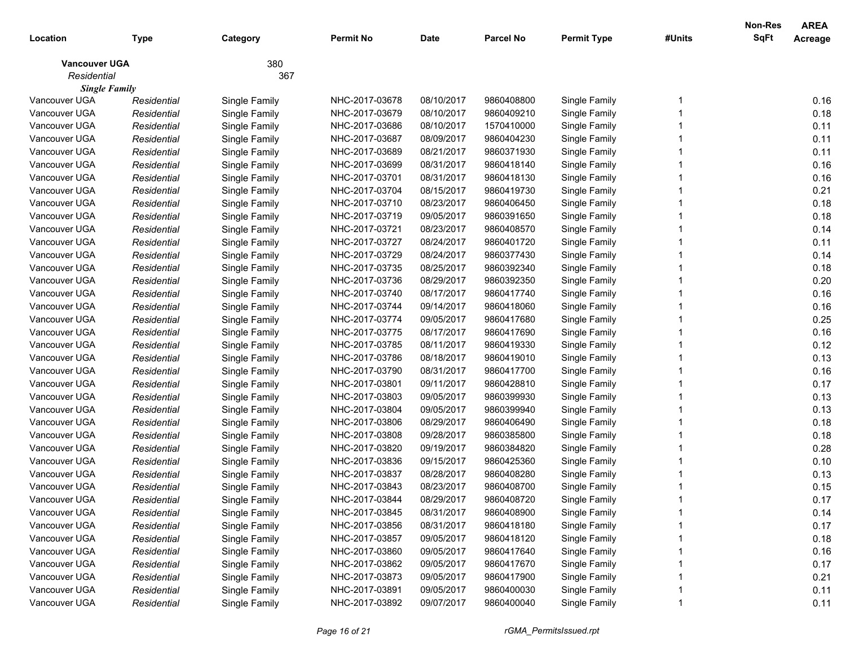|                      |             |               |                |             |                  |                    |        | Non-Res     | <b>AREA</b> |
|----------------------|-------------|---------------|----------------|-------------|------------------|--------------------|--------|-------------|-------------|
| Location             | <b>Type</b> | Category      | Permit No      | <b>Date</b> | <b>Parcel No</b> | <b>Permit Type</b> | #Units | <b>SqFt</b> | Acreage     |
| <b>Vancouver UGA</b> |             | 380           |                |             |                  |                    |        |             |             |
| Residential          |             | 367           |                |             |                  |                    |        |             |             |
| <b>Single Family</b> |             |               |                |             |                  |                    |        |             |             |
| Vancouver UGA        | Residential | Single Family | NHC-2017-03678 | 08/10/2017  | 9860408800       | Single Family      |        |             | 0.16        |
| Vancouver UGA        | Residential | Single Family | NHC-2017-03679 | 08/10/2017  | 9860409210       | Single Family      |        |             | 0.18        |
| Vancouver UGA        | Residential | Single Family | NHC-2017-03686 | 08/10/2017  | 1570410000       | Single Family      |        |             | 0.11        |
| Vancouver UGA        | Residential | Single Family | NHC-2017-03687 | 08/09/2017  | 9860404230       | Single Family      |        |             | 0.11        |
| Vancouver UGA        | Residential | Single Family | NHC-2017-03689 | 08/21/2017  | 9860371930       | Single Family      |        |             | 0.11        |
| Vancouver UGA        | Residential | Single Family | NHC-2017-03699 | 08/31/2017  | 9860418140       | Single Family      |        |             | 0.16        |
| Vancouver UGA        | Residential | Single Family | NHC-2017-03701 | 08/31/2017  | 9860418130       | Single Family      |        |             | 0.16        |
| Vancouver UGA        | Residential | Single Family | NHC-2017-03704 | 08/15/2017  | 9860419730       | Single Family      |        |             | 0.21        |
| Vancouver UGA        | Residential | Single Family | NHC-2017-03710 | 08/23/2017  | 9860406450       | Single Family      |        |             | 0.18        |
| Vancouver UGA        | Residential | Single Family | NHC-2017-03719 | 09/05/2017  | 9860391650       | Single Family      |        |             | 0.18        |
| Vancouver UGA        | Residential | Single Family | NHC-2017-03721 | 08/23/2017  | 9860408570       | Single Family      |        |             | 0.14        |
| Vancouver UGA        | Residential | Single Family | NHC-2017-03727 | 08/24/2017  | 9860401720       | Single Family      |        |             | 0.11        |
| Vancouver UGA        | Residential | Single Family | NHC-2017-03729 | 08/24/2017  | 9860377430       | Single Family      |        |             | 0.14        |
| Vancouver UGA        | Residential | Single Family | NHC-2017-03735 | 08/25/2017  | 9860392340       | Single Family      |        |             | 0.18        |
| Vancouver UGA        | Residential | Single Family | NHC-2017-03736 | 08/29/2017  | 9860392350       | Single Family      |        |             | 0.20        |
| Vancouver UGA        | Residential | Single Family | NHC-2017-03740 | 08/17/2017  | 9860417740       | Single Family      |        |             | 0.16        |
| Vancouver UGA        | Residential | Single Family | NHC-2017-03744 | 09/14/2017  | 9860418060       | Single Family      |        |             | 0.16        |
| Vancouver UGA        | Residential | Single Family | NHC-2017-03774 | 09/05/2017  | 9860417680       | Single Family      |        |             | 0.25        |
| Vancouver UGA        | Residential | Single Family | NHC-2017-03775 | 08/17/2017  | 9860417690       | Single Family      |        |             | 0.16        |
| Vancouver UGA        | Residential | Single Family | NHC-2017-03785 | 08/11/2017  | 9860419330       | Single Family      |        |             | 0.12        |
| Vancouver UGA        | Residential | Single Family | NHC-2017-03786 | 08/18/2017  | 9860419010       | Single Family      |        |             | 0.13        |
| Vancouver UGA        | Residential | Single Family | NHC-2017-03790 | 08/31/2017  | 9860417700       | Single Family      |        |             | 0.16        |
| Vancouver UGA        | Residential | Single Family | NHC-2017-03801 | 09/11/2017  | 9860428810       | Single Family      |        |             | 0.17        |
| Vancouver UGA        | Residential | Single Family | NHC-2017-03803 | 09/05/2017  | 9860399930       | Single Family      |        |             | 0.13        |
| Vancouver UGA        | Residential | Single Family | NHC-2017-03804 | 09/05/2017  | 9860399940       | Single Family      |        |             | 0.13        |
| Vancouver UGA        | Residential | Single Family | NHC-2017-03806 | 08/29/2017  | 9860406490       | Single Family      |        |             | 0.18        |
| Vancouver UGA        | Residential | Single Family | NHC-2017-03808 | 09/28/2017  | 9860385800       | Single Family      |        |             | 0.18        |
| Vancouver UGA        | Residential | Single Family | NHC-2017-03820 | 09/19/2017  | 9860384820       | Single Family      |        |             | 0.28        |
| Vancouver UGA        | Residential | Single Family | NHC-2017-03836 | 09/15/2017  | 9860425360       | Single Family      |        |             | 0.10        |
| Vancouver UGA        | Residential | Single Family | NHC-2017-03837 | 08/28/2017  | 9860408280       | Single Family      |        |             | 0.13        |
| Vancouver UGA        | Residential | Single Family | NHC-2017-03843 | 08/23/2017  | 9860408700       | Single Family      |        |             | 0.15        |
| Vancouver UGA        | Residential | Single Family | NHC-2017-03844 | 08/29/2017  | 9860408720       | Single Family      |        |             | 0.17        |
| Vancouver UGA        | Residential | Single Family | NHC-2017-03845 | 08/31/2017  | 9860408900       | Single Family      |        |             | 0.14        |
| Vancouver UGA        | Residential | Single Family | NHC-2017-03856 | 08/31/2017  | 9860418180       | Single Family      |        |             | 0.17        |
| Vancouver UGA        | Residential | Single Family | NHC-2017-03857 | 09/05/2017  | 9860418120       | Single Family      |        |             | 0.18        |
| Vancouver UGA        | Residential | Single Family | NHC-2017-03860 | 09/05/2017  | 9860417640       | Single Family      |        |             | 0.16        |
| Vancouver UGA        | Residential | Single Family | NHC-2017-03862 | 09/05/2017  | 9860417670       | Single Family      |        |             | 0.17        |
| Vancouver UGA        | Residential | Single Family | NHC-2017-03873 | 09/05/2017  | 9860417900       | Single Family      |        |             | 0.21        |
| Vancouver UGA        | Residential | Single Family | NHC-2017-03891 | 09/05/2017  | 9860400030       | Single Family      |        |             | 0.11        |
| Vancouver UGA        | Residential | Single Family | NHC-2017-03892 | 09/07/2017  | 9860400040       | Single Family      |        |             | 0.11        |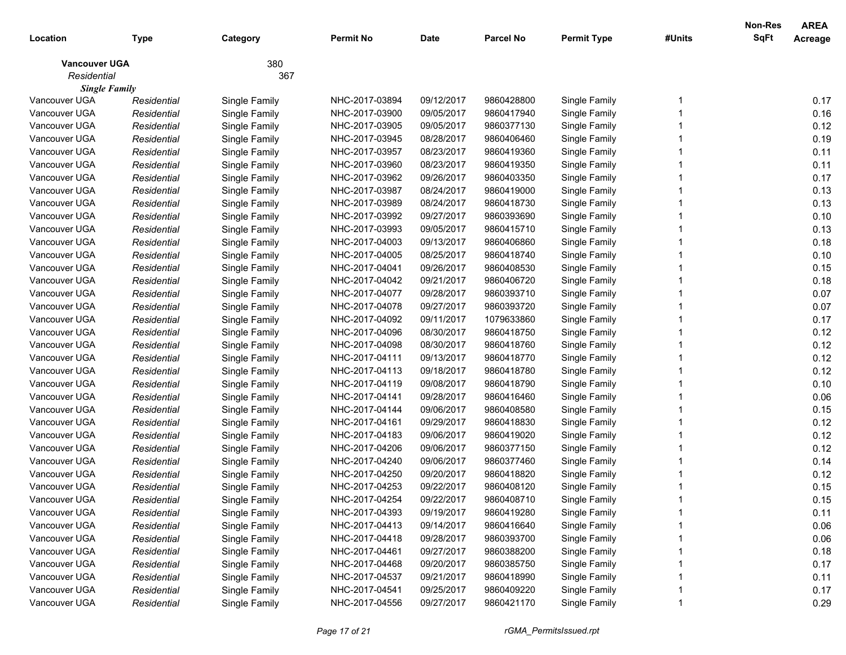|                      |             |               |                |             |                  |                    |        | Non-Res     | <b>AREA</b> |
|----------------------|-------------|---------------|----------------|-------------|------------------|--------------------|--------|-------------|-------------|
| Location             | Type        | Category      | Permit No      | <b>Date</b> | <b>Parcel No</b> | <b>Permit Type</b> | #Units | <b>SqFt</b> | Acreage     |
| <b>Vancouver UGA</b> |             | 380           |                |             |                  |                    |        |             |             |
| Residential          |             | 367           |                |             |                  |                    |        |             |             |
| <b>Single Family</b> |             |               |                |             |                  |                    |        |             |             |
| Vancouver UGA        | Residential | Single Family | NHC-2017-03894 | 09/12/2017  | 9860428800       | Single Family      |        |             | 0.17        |
| Vancouver UGA        | Residential | Single Family | NHC-2017-03900 | 09/05/2017  | 9860417940       | Single Family      |        |             | 0.16        |
| Vancouver UGA        | Residential | Single Family | NHC-2017-03905 | 09/05/2017  | 9860377130       | Single Family      |        |             | 0.12        |
| Vancouver UGA        | Residential | Single Family | NHC-2017-03945 | 08/28/2017  | 9860406460       | Single Family      |        |             | 0.19        |
| Vancouver UGA        | Residential | Single Family | NHC-2017-03957 | 08/23/2017  | 9860419360       | Single Family      |        |             | 0.11        |
| Vancouver UGA        | Residential | Single Family | NHC-2017-03960 | 08/23/2017  | 9860419350       | Single Family      |        |             | 0.11        |
| Vancouver UGA        | Residential | Single Family | NHC-2017-03962 | 09/26/2017  | 9860403350       | Single Family      |        |             | 0.17        |
| Vancouver UGA        | Residential | Single Family | NHC-2017-03987 | 08/24/2017  | 9860419000       | Single Family      |        |             | 0.13        |
| Vancouver UGA        | Residential | Single Family | NHC-2017-03989 | 08/24/2017  | 9860418730       | Single Family      |        |             | 0.13        |
| Vancouver UGA        | Residential | Single Family | NHC-2017-03992 | 09/27/2017  | 9860393690       | Single Family      |        |             | 0.10        |
| Vancouver UGA        | Residential | Single Family | NHC-2017-03993 | 09/05/2017  | 9860415710       | Single Family      |        |             | 0.13        |
| Vancouver UGA        | Residential | Single Family | NHC-2017-04003 | 09/13/2017  | 9860406860       | Single Family      |        |             | 0.18        |
| Vancouver UGA        | Residential | Single Family | NHC-2017-04005 | 08/25/2017  | 9860418740       | Single Family      |        |             | 0.10        |
| Vancouver UGA        | Residential | Single Family | NHC-2017-04041 | 09/26/2017  | 9860408530       | Single Family      |        |             | 0.15        |
| Vancouver UGA        | Residential | Single Family | NHC-2017-04042 | 09/21/2017  | 9860406720       | Single Family      |        |             | 0.18        |
| Vancouver UGA        | Residential | Single Family | NHC-2017-04077 | 09/28/2017  | 9860393710       | Single Family      |        |             | 0.07        |
| Vancouver UGA        | Residential | Single Family | NHC-2017-04078 | 09/27/2017  | 9860393720       | Single Family      |        |             | 0.07        |
| Vancouver UGA        | Residential | Single Family | NHC-2017-04092 | 09/11/2017  | 1079633860       | Single Family      |        |             | 0.17        |
| Vancouver UGA        | Residential | Single Family | NHC-2017-04096 | 08/30/2017  | 9860418750       | Single Family      |        |             | 0.12        |
| Vancouver UGA        | Residential | Single Family | NHC-2017-04098 | 08/30/2017  | 9860418760       | Single Family      |        |             | 0.12        |
| Vancouver UGA        | Residential | Single Family | NHC-2017-04111 | 09/13/2017  | 9860418770       | Single Family      |        |             | 0.12        |
| Vancouver UGA        | Residential | Single Family | NHC-2017-04113 | 09/18/2017  | 9860418780       | Single Family      |        |             | 0.12        |
| Vancouver UGA        | Residential | Single Family | NHC-2017-04119 | 09/08/2017  | 9860418790       | Single Family      |        |             | 0.10        |
| Vancouver UGA        | Residential | Single Family | NHC-2017-04141 | 09/28/2017  | 9860416460       | Single Family      |        |             | 0.06        |
| Vancouver UGA        | Residential | Single Family | NHC-2017-04144 | 09/06/2017  | 9860408580       | Single Family      |        |             | 0.15        |
| Vancouver UGA        | Residential | Single Family | NHC-2017-04161 | 09/29/2017  | 9860418830       | Single Family      |        |             | 0.12        |
| Vancouver UGA        | Residential | Single Family | NHC-2017-04183 | 09/06/2017  | 9860419020       | Single Family      |        |             | 0.12        |
| Vancouver UGA        | Residential | Single Family | NHC-2017-04206 | 09/06/2017  | 9860377150       | Single Family      |        |             | 0.12        |
| Vancouver UGA        | Residential | Single Family | NHC-2017-04240 | 09/06/2017  | 9860377460       | Single Family      |        |             | 0.14        |
| Vancouver UGA        | Residential | Single Family | NHC-2017-04250 | 09/20/2017  | 9860418820       | Single Family      |        |             | 0.12        |
| Vancouver UGA        | Residential | Single Family | NHC-2017-04253 | 09/22/2017  | 9860408120       | Single Family      |        |             | 0.15        |
| Vancouver UGA        | Residential | Single Family | NHC-2017-04254 | 09/22/2017  | 9860408710       | Single Family      |        |             | 0.15        |
| Vancouver UGA        | Residential | Single Family | NHC-2017-04393 | 09/19/2017  | 9860419280       | Single Family      |        |             | 0.11        |
| Vancouver UGA        | Residential | Single Family | NHC-2017-04413 | 09/14/2017  | 9860416640       | Single Family      |        |             | 0.06        |
| Vancouver UGA        | Residential | Single Family | NHC-2017-04418 | 09/28/2017  | 9860393700       | Single Family      |        |             | 0.06        |
| Vancouver UGA        | Residential | Single Family | NHC-2017-04461 | 09/27/2017  | 9860388200       | Single Family      |        |             | 0.18        |
| Vancouver UGA        | Residential | Single Family | NHC-2017-04468 | 09/20/2017  | 9860385750       | Single Family      |        |             | 0.17        |
| Vancouver UGA        | Residential | Single Family | NHC-2017-04537 | 09/21/2017  | 9860418990       | Single Family      |        |             | 0.11        |
| Vancouver UGA        | Residential | Single Family | NHC-2017-04541 | 09/25/2017  | 9860409220       | Single Family      |        |             | 0.17        |
| Vancouver UGA        | Residential | Single Family | NHC-2017-04556 | 09/27/2017  | 9860421170       | Single Family      |        |             | 0.29        |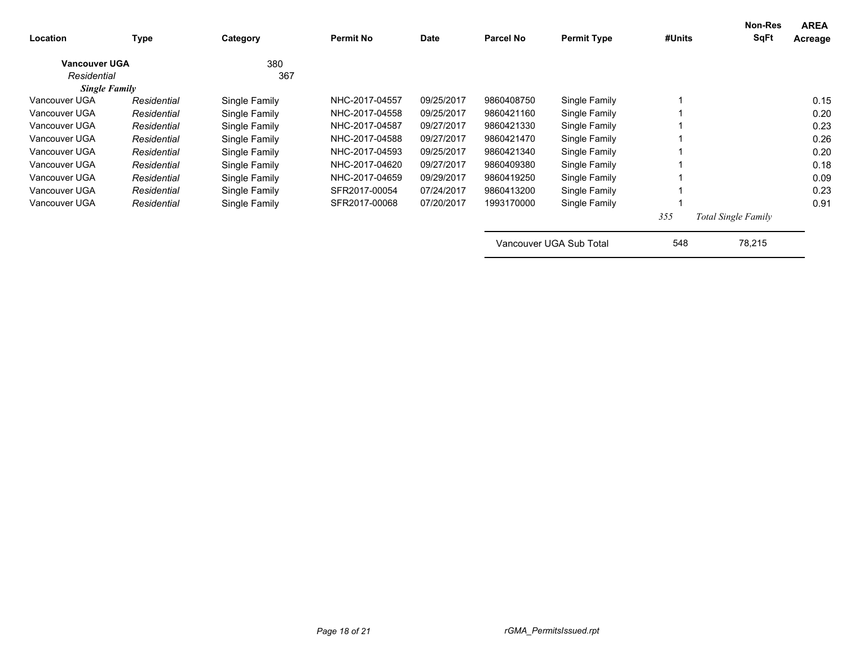| Location             | <b>Type</b> | Category      | <b>Permit No</b> | <b>Date</b> | <b>Parcel No</b> | <b>Permit Type</b>      | #Units | Non-Res<br><b>SqFt</b>     | <b>AREA</b><br>Acreage |
|----------------------|-------------|---------------|------------------|-------------|------------------|-------------------------|--------|----------------------------|------------------------|
| <b>Vancouver UGA</b> |             | 380           |                  |             |                  |                         |        |                            |                        |
| Residential          |             | 367           |                  |             |                  |                         |        |                            |                        |
| <b>Single Family</b> |             |               |                  |             |                  |                         |        |                            |                        |
| Vancouver UGA        | Residential | Single Family | NHC-2017-04557   | 09/25/2017  | 9860408750       | Single Family           |        |                            | 0.15                   |
| Vancouver UGA        | Residential | Single Family | NHC-2017-04558   | 09/25/2017  | 9860421160       | Single Family           |        |                            | 0.20                   |
| Vancouver UGA        | Residential | Single Family | NHC-2017-04587   | 09/27/2017  | 9860421330       | Single Family           |        |                            | 0.23                   |
| Vancouver UGA        | Residential | Single Family | NHC-2017-04588   | 09/27/2017  | 9860421470       | Single Family           |        |                            | 0.26                   |
| Vancouver UGA        | Residential | Single Family | NHC-2017-04593   | 09/25/2017  | 9860421340       | Single Family           |        |                            | 0.20                   |
| Vancouver UGA        | Residential | Single Family | NHC-2017-04620   | 09/27/2017  | 9860409380       | Single Family           |        |                            | 0.18                   |
| Vancouver UGA        | Residential | Single Family | NHC-2017-04659   | 09/29/2017  | 9860419250       | Single Family           |        |                            | 0.09                   |
| Vancouver UGA        | Residential | Single Family | SFR2017-00054    | 07/24/2017  | 9860413200       | Single Family           |        |                            | 0.23                   |
| Vancouver UGA        | Residential | Single Family | SFR2017-00068    | 07/20/2017  | 1993170000       | Single Family           |        |                            | 0.91                   |
|                      |             |               |                  |             |                  |                         | 355    | <b>Total Single Family</b> |                        |
|                      |             |               |                  |             |                  | Vancouver UGA Sub Total | 548    | 78,215                     |                        |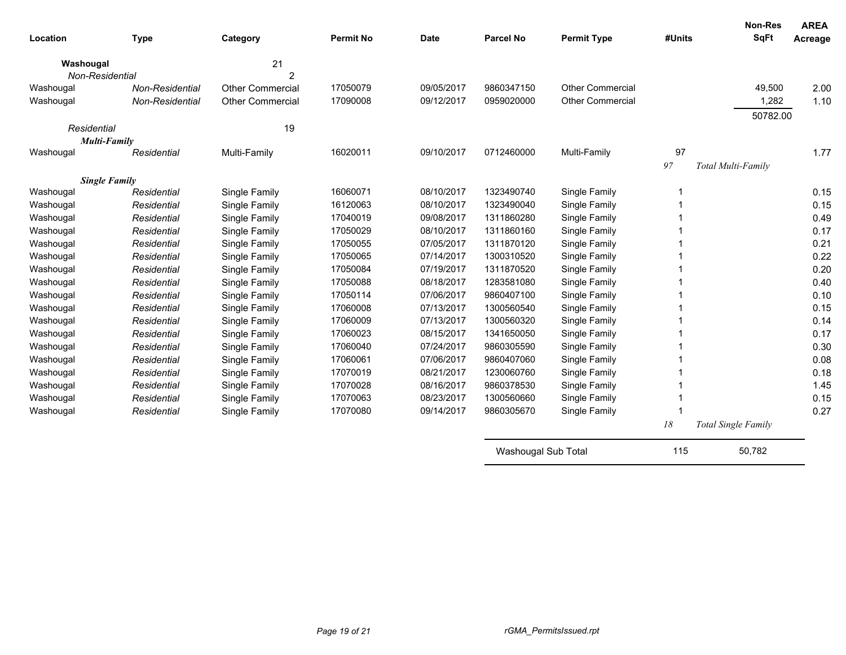| Location             | <b>Type</b>     | Category                | <b>Permit No</b> | <b>Date</b> | <b>Parcel No</b>    | <b>Permit Type</b>      | #Units | <b>Non-Res</b><br><b>SqFt</b> | <b>AREA</b><br>Acreage |
|----------------------|-----------------|-------------------------|------------------|-------------|---------------------|-------------------------|--------|-------------------------------|------------------------|
| Washougal            |                 | 21                      |                  |             |                     |                         |        |                               |                        |
| Non-Residential      |                 | $\overline{2}$          |                  |             |                     |                         |        |                               |                        |
| Washougal            | Non-Residential | <b>Other Commercial</b> | 17050079         | 09/05/2017  | 9860347150          | <b>Other Commercial</b> |        | 49,500                        | 2.00                   |
| Washougal            | Non-Residential | <b>Other Commercial</b> | 17090008         | 09/12/2017  | 0959020000          | <b>Other Commercial</b> |        | 1,282                         | 1.10                   |
|                      |                 |                         |                  |             |                     |                         |        | 50782.00                      |                        |
| Residential          |                 | 19                      |                  |             |                     |                         |        |                               |                        |
| Multi-Family         |                 |                         |                  |             |                     |                         |        |                               |                        |
| Washougal            | Residential     | Multi-Family            | 16020011         | 09/10/2017  | 0712460000          | Multi-Family            | 97     |                               | 1.77                   |
|                      |                 |                         |                  |             |                     |                         | 97     | Total Multi-Family            |                        |
| <b>Single Family</b> |                 |                         |                  |             |                     |                         |        |                               |                        |
| Washougal            | Residential     | Single Family           | 16060071         | 08/10/2017  | 1323490740          | Single Family           |        |                               | 0.15                   |
| Washougal            | Residential     | Single Family           | 16120063         | 08/10/2017  | 1323490040          | Single Family           |        |                               | 0.15                   |
| Washougal            | Residential     | Single Family           | 17040019         | 09/08/2017  | 1311860280          | Single Family           |        |                               | 0.49                   |
| Washougal            | Residential     | Single Family           | 17050029         | 08/10/2017  | 1311860160          | Single Family           |        |                               | 0.17                   |
| Washougal            | Residential     | Single Family           | 17050055         | 07/05/2017  | 1311870120          | Single Family           |        |                               | 0.21                   |
| Washougal            | Residential     | Single Family           | 17050065         | 07/14/2017  | 1300310520          | Single Family           |        |                               | 0.22                   |
| Washougal            | Residential     | Single Family           | 17050084         | 07/19/2017  | 1311870520          | Single Family           |        |                               | 0.20                   |
| Washougal            | Residential     | Single Family           | 17050088         | 08/18/2017  | 1283581080          | Single Family           |        |                               | 0.40                   |
| Washougal            | Residential     | Single Family           | 17050114         | 07/06/2017  | 9860407100          | Single Family           |        |                               | 0.10                   |
| Washougal            | Residential     | Single Family           | 17060008         | 07/13/2017  | 1300560540          | Single Family           |        |                               | 0.15                   |
| Washougal            | Residential     | Single Family           | 17060009         | 07/13/2017  | 1300560320          | Single Family           |        |                               | 0.14                   |
| Washougal            | Residential     | Single Family           | 17060023         | 08/15/2017  | 1341650050          | Single Family           |        |                               | 0.17                   |
| Washougal            | Residential     | Single Family           | 17060040         | 07/24/2017  | 9860305590          | Single Family           |        |                               | 0.30                   |
| Washougal            | Residential     | Single Family           | 17060061         | 07/06/2017  | 9860407060          | Single Family           |        |                               | 0.08                   |
| Washougal            | Residential     | Single Family           | 17070019         | 08/21/2017  | 1230060760          | Single Family           |        |                               | 0.18                   |
| Washougal            | Residential     | Single Family           | 17070028         | 08/16/2017  | 9860378530          | Single Family           |        |                               | 1.45                   |
| Washougal            | Residential     | Single Family           | 17070063         | 08/23/2017  | 1300560660          | Single Family           |        |                               | 0.15                   |
| Washougal            | Residential     | Single Family           | 17070080         | 09/14/2017  | 9860305670          | Single Family           |        |                               | 0.27                   |
|                      |                 |                         |                  |             |                     |                         | 18     | Total Single Family           |                        |
|                      |                 |                         |                  |             | Washougal Sub Total |                         | 115    | 50.782                        |                        |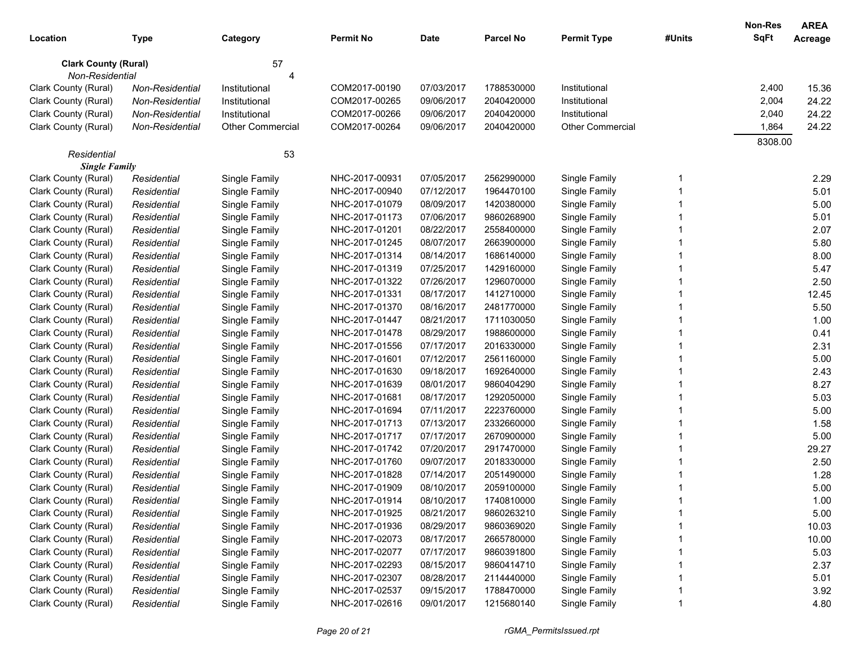|                             |                 |                         |                  |            |                  |                         |        | Non-Res | <b>AREA</b> |
|-----------------------------|-----------------|-------------------------|------------------|------------|------------------|-------------------------|--------|---------|-------------|
| Location                    | <b>Type</b>     | Category                | <b>Permit No</b> | Date       | <b>Parcel No</b> | <b>Permit Type</b>      | #Units | SqFt    | Acreage     |
| <b>Clark County (Rural)</b> |                 | 57                      |                  |            |                  |                         |        |         |             |
| Non-Residential             |                 | ⊿                       |                  |            |                  |                         |        |         |             |
| Clark County (Rural)        | Non-Residential | Institutional           | COM2017-00190    | 07/03/2017 | 1788530000       | Institutional           |        | 2,400   | 15.36       |
| Clark County (Rural)        | Non-Residential | Institutional           | COM2017-00265    | 09/06/2017 | 2040420000       | Institutional           |        | 2,004   | 24.22       |
| Clark County (Rural)        | Non-Residential | Institutional           | COM2017-00266    | 09/06/2017 | 2040420000       | Institutional           |        | 2,040   | 24.22       |
| Clark County (Rural)        | Non-Residential | <b>Other Commercial</b> | COM2017-00264    | 09/06/2017 | 2040420000       | <b>Other Commercial</b> |        | 1,864   | 24.22       |
|                             |                 |                         |                  |            |                  |                         |        | 8308.00 |             |
| Residential                 |                 | 53                      |                  |            |                  |                         |        |         |             |
| <b>Single Family</b>        |                 |                         |                  |            |                  |                         |        |         |             |
| Clark County (Rural)        | Residential     | Single Family           | NHC-2017-00931   | 07/05/2017 | 2562990000       | Single Family           |        |         | 2.29        |
| Clark County (Rural)        | Residential     | Single Family           | NHC-2017-00940   | 07/12/2017 | 1964470100       | Single Family           |        |         | 5.01        |
| Clark County (Rural)        | Residential     | Single Family           | NHC-2017-01079   | 08/09/2017 | 1420380000       | Single Family           |        |         | 5.00        |
| Clark County (Rural)        | Residential     | Single Family           | NHC-2017-01173   | 07/06/2017 | 9860268900       | Single Family           |        |         | 5.01        |
| Clark County (Rural)        | Residential     | Single Family           | NHC-2017-01201   | 08/22/2017 | 2558400000       | Single Family           |        |         | 2.07        |
| Clark County (Rural)        | Residential     | Single Family           | NHC-2017-01245   | 08/07/2017 | 2663900000       | Single Family           |        |         | 5.80        |
| Clark County (Rural)        | Residential     | Single Family           | NHC-2017-01314   | 08/14/2017 | 1686140000       | Single Family           |        |         | 8.00        |
| Clark County (Rural)        | Residential     | Single Family           | NHC-2017-01319   | 07/25/2017 | 1429160000       | Single Family           |        |         | 5.47        |
| Clark County (Rural)        | Residential     | Single Family           | NHC-2017-01322   | 07/26/2017 | 1296070000       | Single Family           |        |         | 2.50        |
| Clark County (Rural)        | Residential     | Single Family           | NHC-2017-01331   | 08/17/2017 | 1412710000       | Single Family           |        |         | 12.45       |
| Clark County (Rural)        | Residential     | Single Family           | NHC-2017-01370   | 08/16/2017 | 2481770000       | Single Family           |        |         | 5.50        |
| Clark County (Rural)        | Residential     | Single Family           | NHC-2017-01447   | 08/21/2017 | 1711030050       | Single Family           |        |         | 1.00        |
| Clark County (Rural)        | Residential     | Single Family           | NHC-2017-01478   | 08/29/2017 | 1988600000       | Single Family           |        |         | 0.41        |
| Clark County (Rural)        | Residential     | Single Family           | NHC-2017-01556   | 07/17/2017 | 2016330000       | Single Family           |        |         | 2.31        |
| Clark County (Rural)        | Residential     | Single Family           | NHC-2017-01601   | 07/12/2017 | 2561160000       | Single Family           |        |         | 5.00        |
| Clark County (Rural)        | Residential     | Single Family           | NHC-2017-01630   | 09/18/2017 | 1692640000       | Single Family           |        |         | 2.43        |
| Clark County (Rural)        | Residential     | Single Family           | NHC-2017-01639   | 08/01/2017 | 9860404290       | Single Family           |        |         | 8.27        |
| Clark County (Rural)        | Residential     | Single Family           | NHC-2017-01681   | 08/17/2017 | 1292050000       | Single Family           |        |         | 5.03        |
| Clark County (Rural)        | Residential     | Single Family           | NHC-2017-01694   | 07/11/2017 | 2223760000       | Single Family           |        |         | 5.00        |
| Clark County (Rural)        | Residential     | Single Family           | NHC-2017-01713   | 07/13/2017 | 2332660000       | Single Family           |        |         | 1.58        |
| Clark County (Rural)        | Residential     | Single Family           | NHC-2017-01717   | 07/17/2017 | 2670900000       | Single Family           |        |         | 5.00        |
| Clark County (Rural)        | Residential     | Single Family           | NHC-2017-01742   | 07/20/2017 | 2917470000       | Single Family           |        |         | 29.27       |
| Clark County (Rural)        | Residential     | Single Family           | NHC-2017-01760   | 09/07/2017 | 2018330000       | Single Family           |        |         | 2.50        |
| Clark County (Rural)        | Residential     | Single Family           | NHC-2017-01828   | 07/14/2017 | 2051490000       | Single Family           |        |         | 1.28        |
| Clark County (Rural)        | Residential     | Single Family           | NHC-2017-01909   | 08/10/2017 | 2059100000       | Single Family           |        |         | 5.00        |
| Clark County (Rural)        | Residential     | Single Family           | NHC-2017-01914   | 08/10/2017 | 1740810000       | Single Family           |        |         | 1.00        |
| Clark County (Rural)        | Residential     | Single Family           | NHC-2017-01925   | 08/21/2017 | 9860263210       | Single Family           |        |         | 5.00        |
| Clark County (Rural)        | Residential     | Single Family           | NHC-2017-01936   | 08/29/2017 | 9860369020       | Single Family           |        |         | 10.03       |
| Clark County (Rural)        | Residential     | Single Family           | NHC-2017-02073   | 08/17/2017 | 2665780000       | Single Family           |        |         | 10.00       |
| Clark County (Rural)        | Residential     | Single Family           | NHC-2017-02077   | 07/17/2017 | 9860391800       | Single Family           |        |         | 5.03        |
| Clark County (Rural)        | Residential     | Single Family           | NHC-2017-02293   | 08/15/2017 | 9860414710       | Single Family           |        |         | 2.37        |
| Clark County (Rural)        | Residential     | Single Family           | NHC-2017-02307   | 08/28/2017 | 2114440000       | Single Family           |        |         | 5.01        |
| Clark County (Rural)        | Residential     | Single Family           | NHC-2017-02537   | 09/15/2017 | 1788470000       | Single Family           |        |         | 3.92        |
| Clark County (Rural)        | Residential     | Single Family           | NHC-2017-02616   | 09/01/2017 | 1215680140       | Single Family           |        |         | 4.80        |